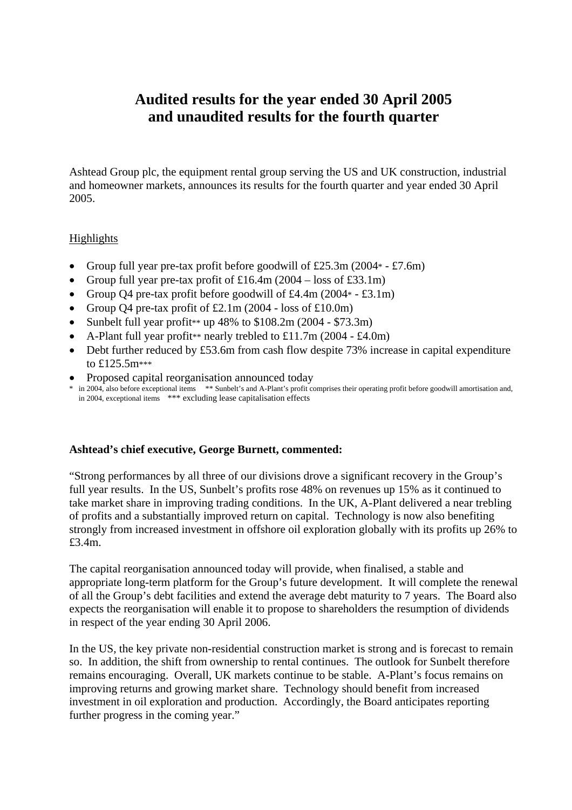# **Audited results for the year ended 30 April 2005 and unaudited results for the fourth quarter**

Ashtead Group plc, the equipment rental group serving the US and UK construction, industrial and homeowner markets, announces its results for the fourth quarter and year ended 30 April 2005.

# Highlights

- Group full year pre-tax profit before goodwill of  $£25.3m (2004* £7.6m)$
- Group full year pre-tax profit of  $\text{\pounds}16.4\text{m}$  (2004 loss of  $\text{\pounds}33.1\text{m}$ )
- Group O4 pre-tax profit before goodwill of  $\text{\pounds}4.4\text{m}$  (2004  $\text{\pounds}$   $\text{\pounds}3.1\text{m}$ )
- Group Q4 pre-tax profit of  $£2.1m(2004 loss of £10.0m)$
- Sunbelt full year profit<sup>\*\*</sup> up  $48\%$  to  $108.2$ m (2004 \$73.3m)
- A-Plant full year profit<sup>\*\*</sup> nearly trebled to £11.7m (2004 £4.0m)
- Debt further reduced by £53.6m from cash flow despite 73% increase in capital expenditure to £125.5m\*\*\*
- Proposed capital reorganisation announced today
- \* in 2004, also before exceptional items \*\* Sunbelt's and A-Plant's profit comprises their operating profit before goodwill amortisation and, in 2004, exceptional items \*\*\* excluding lease capitalisation effects

## **Ashtead's chief executive, George Burnett, commented:**

"Strong performances by all three of our divisions drove a significant recovery in the Group's full year results. In the US, Sunbelt's profits rose 48% on revenues up 15% as it continued to take market share in improving trading conditions. In the UK, A-Plant delivered a near trebling of profits and a substantially improved return on capital. Technology is now also benefiting strongly from increased investment in offshore oil exploration globally with its profits up 26% to £3.4m.

The capital reorganisation announced today will provide, when finalised, a stable and appropriate long-term platform for the Group's future development. It will complete the renewal of all the Group's debt facilities and extend the average debt maturity to 7 years. The Board also expects the reorganisation will enable it to propose to shareholders the resumption of dividends in respect of the year ending 30 April 2006.

In the US, the key private non-residential construction market is strong and is forecast to remain so. In addition, the shift from ownership to rental continues. The outlook for Sunbelt therefore remains encouraging. Overall, UK markets continue to be stable. A-Plant's focus remains on improving returns and growing market share. Technology should benefit from increased investment in oil exploration and production. Accordingly, the Board anticipates reporting further progress in the coming year."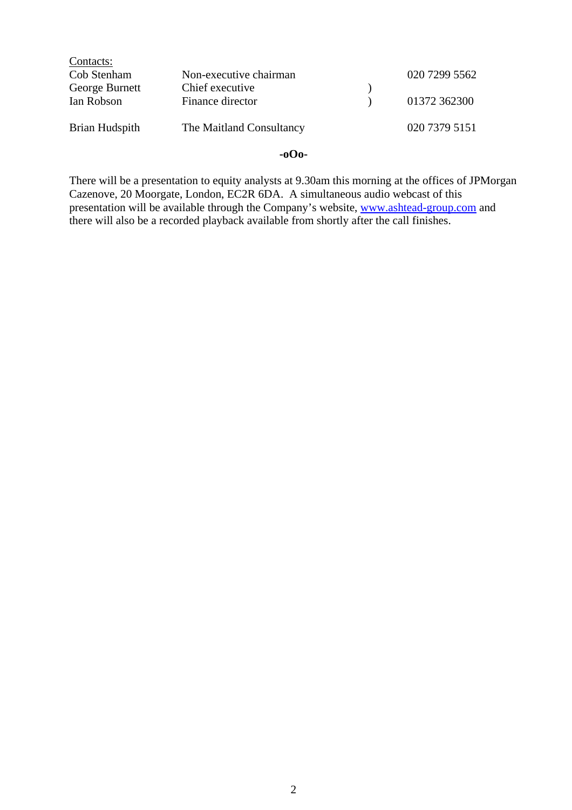| Contacts:      |                          |               |
|----------------|--------------------------|---------------|
| Cob Stenham    | Non-executive chairman   | 020 7299 5562 |
| George Burnett | Chief executive          |               |
| Ian Robson     | Finance director         | 01372 362300  |
|                |                          |               |
| Brian Hudspith | The Maitland Consultancy | 020 7379 5151 |
|                |                          |               |

# **-oOo-**

There will be a presentation to equity analysts at 9.30am this morning at the offices of JPMorgan Cazenove, 20 Moorgate, London, EC2R 6DA. A simultaneous audio webcast of this presentation will be available through the Company's website, [www.ashtead-group.com](http://www.ashtead-group.com/) and there will also be a recorded playback available from shortly after the call finishes.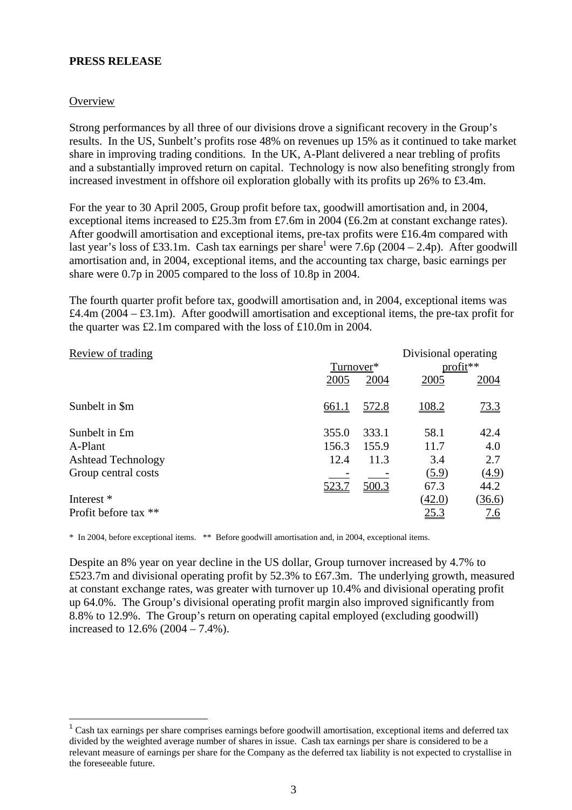## **PRESS RELEASE**

## **Overview**

Strong performances by all three of our divisions drove a significant recovery in the Group's results. In the US, Sunbelt's profits rose 48% on revenues up 15% as it continued to take market share in improving trading conditions. In the UK, A-Plant delivered a near trebling of profits and a substantially improved return on capital. Technology is now also benefiting strongly from increased investment in offshore oil exploration globally with its profits up 26% to £3.4m.

For the year to 30 April 2005, Group profit before tax, goodwill amortisation and, in 2004, exceptional items increased to £25.3m from £7.6m in 2004 (£6.2m at constant exchange rates). After goodwill amortisation and exceptional items, pre-tax profits were £16.4m compared with last year's loss of £33.1m. Cash tax earnings per share<sup>1</sup> were 7.6p (2004 – 2.4p). After goodwill amortisation and, in 2004, exceptional items, and the accounting tax charge, basic earnings per share were 0.7p in 2005 compared to the loss of 10.8p in 2004.

The fourth quarter profit before tax, goodwill amortisation and, in 2004, exceptional items was £4.4m (2004 – £3.1m). After goodwill amortisation and exceptional items, the pre-tax profit for the quarter was £2.1m compared with the loss of £10.0m in 2004.

| Review of trading         | Divisional operating |       |            |            |  |
|---------------------------|----------------------|-------|------------|------------|--|
|                           | Turnover*            |       | $profit**$ |            |  |
|                           | 2005                 | 2004  | 2005       | 2004       |  |
| Sunbelt in \$m            | 661.1                | 572.8 | 108.2      | 73.3       |  |
| Sunbelt in £m             | 355.0                | 333.1 | 58.1       | 42.4       |  |
| A-Plant                   | 156.3                | 155.9 | 11.7       | 4.0        |  |
| <b>Ashtead Technology</b> | 12.4                 | 11.3  | 3.4        | 2.7        |  |
| Group central costs       |                      |       | (5.9)      | (4.9)      |  |
|                           | 523.7                | 500.3 | 67.3       | 44.2       |  |
| Interest *                |                      |       | (42.0)     | (36.6)     |  |
| Profit before tax **      |                      |       | 25.3       | <u>7.6</u> |  |

\* In 2004, before exceptional items. \*\* Before goodwill amortisation and, in 2004, exceptional items.

Despite an 8% year on year decline in the US dollar, Group turnover increased by 4.7% to £523.7m and divisional operating profit by 52.3% to £67.3m. The underlying growth, measured at constant exchange rates, was greater with turnover up 10.4% and divisional operating profit up 64.0%. The Group's divisional operating profit margin also improved significantly from 8.8% to 12.9%. The Group's return on operating capital employed (excluding goodwill) increased to 12.6% (2004 – 7.4%).

<span id="page-2-0"></span><sup>&</sup>lt;sup>1</sup> Cash tax earnings per share comprises earnings before goodwill amortisation, exceptional items and deferred tax divided by the weighted average number of shares in issue. Cash tax earnings per share is considered to be a relevant measure of earnings per share for the Company as the deferred tax liability is not expected to crystallise in the foreseeable future.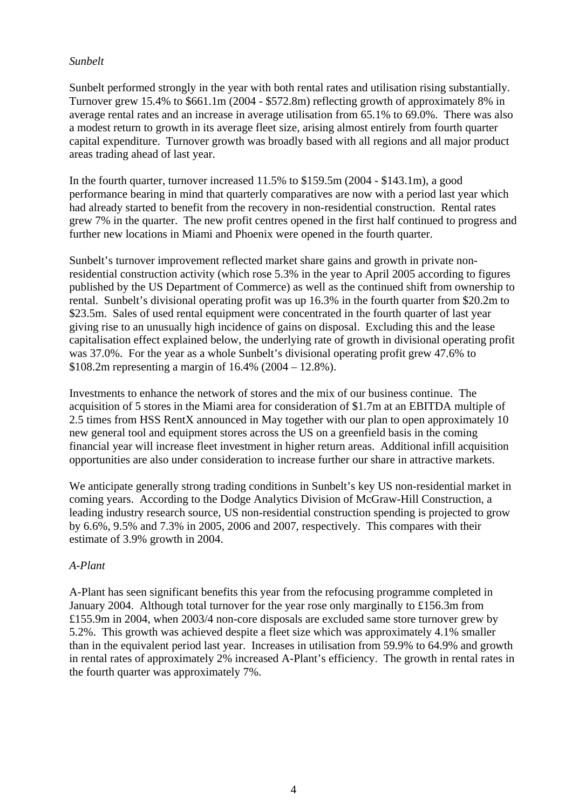# *Sunbelt*

Sunbelt performed strongly in the year with both rental rates and utilisation rising substantially. Turnover grew 15.4% to \$661.1m (2004 - \$572.8m) reflecting growth of approximately 8% in average rental rates and an increase in average utilisation from 65.1% to 69.0%. There was also a modest return to growth in its average fleet size, arising almost entirely from fourth quarter capital expenditure. Turnover growth was broadly based with all regions and all major product areas trading ahead of last year.

In the fourth quarter, turnover increased 11.5% to \$159.5m (2004 - \$143.1m), a good performance bearing in mind that quarterly comparatives are now with a period last year which had already started to benefit from the recovery in non-residential construction. Rental rates grew 7% in the quarter. The new profit centres opened in the first half continued to progress and further new locations in Miami and Phoenix were opened in the fourth quarter.

Sunbelt's turnover improvement reflected market share gains and growth in private nonresidential construction activity (which rose 5.3% in the year to April 2005 according to figures published by the US Department of Commerce) as well as the continued shift from ownership to rental. Sunbelt's divisional operating profit was up 16.3% in the fourth quarter from \$20.2m to \$23.5m. Sales of used rental equipment were concentrated in the fourth quarter of last year giving rise to an unusually high incidence of gains on disposal. Excluding this and the lease capitalisation effect explained below, the underlying rate of growth in divisional operating profit was 37.0%. For the year as a whole Sunbelt's divisional operating profit grew 47.6% to \$108.2m representing a margin of 16.4% (2004 – 12.8%).

Investments to enhance the network of stores and the mix of our business continue. The acquisition of 5 stores in the Miami area for consideration of \$1.7m at an EBITDA multiple of 2.5 times from HSS RentX announced in May together with our plan to open approximately 10 new general tool and equipment stores across the US on a greenfield basis in the coming financial year will increase fleet investment in higher return areas. Additional infill acquisition opportunities are also under consideration to increase further our share in attractive markets.

We anticipate generally strong trading conditions in Sunbelt's key US non-residential market in coming years. According to the Dodge Analytics Division of McGraw-Hill Construction, a leading industry research source, US non-residential construction spending is projected to grow by 6.6%, 9.5% and 7.3% in 2005, 2006 and 2007, respectively. This compares with their estimate of 3.9% growth in 2004.

## *A-Plant*

A-Plant has seen significant benefits this year from the refocusing programme completed in January 2004. Although total turnover for the year rose only marginally to £156.3m from £155.9m in 2004, when 2003/4 non-core disposals are excluded same store turnover grew by 5.2%. This growth was achieved despite a fleet size which was approximately 4.1% smaller than in the equivalent period last year. Increases in utilisation from 59.9% to 64.9% and growth in rental rates of approximately 2% increased A-Plant's efficiency. The growth in rental rates in the fourth quarter was approximately 7%.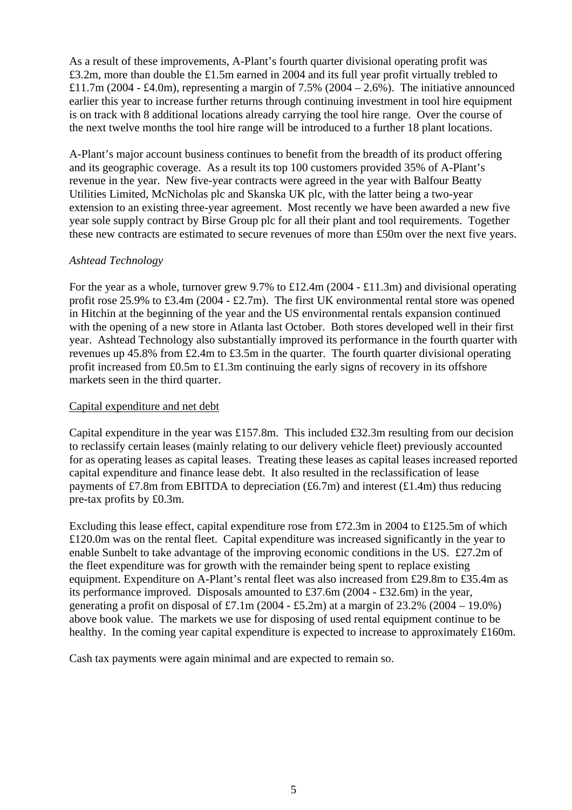As a result of these improvements, A-Plant's fourth quarter divisional operating profit was £3.2m, more than double the £1.5m earned in 2004 and its full year profit virtually trebled to £11.7m (2004 - £4.0m), representing a margin of 7.5% (2004 – 2.6%). The initiative announced earlier this year to increase further returns through continuing investment in tool hire equipment is on track with 8 additional locations already carrying the tool hire range. Over the course of the next twelve months the tool hire range will be introduced to a further 18 plant locations.

A-Plant's major account business continues to benefit from the breadth of its product offering and its geographic coverage. As a result its top 100 customers provided 35% of A-Plant's revenue in the year. New five-year contracts were agreed in the year with Balfour Beatty Utilities Limited, McNicholas plc and Skanska UK plc, with the latter being a two-year extension to an existing three-year agreement. Most recently we have been awarded a new five year sole supply contract by Birse Group plc for all their plant and tool requirements. Together these new contracts are estimated to secure revenues of more than £50m over the next five years.

# *Ashtead Technology*

For the year as a whole, turnover grew 9.7% to £12.4m (2004 - £11.3m) and divisional operating profit rose 25.9% to £3.4m (2004 - £2.7m). The first UK environmental rental store was opened in Hitchin at the beginning of the year and the US environmental rentals expansion continued with the opening of a new store in Atlanta last October. Both stores developed well in their first year. Ashtead Technology also substantially improved its performance in the fourth quarter with revenues up 45.8% from £2.4m to £3.5m in the quarter. The fourth quarter divisional operating profit increased from £0.5m to £1.3m continuing the early signs of recovery in its offshore markets seen in the third quarter.

## Capital expenditure and net debt

Capital expenditure in the year was £157.8m. This included £32.3m resulting from our decision to reclassify certain leases (mainly relating to our delivery vehicle fleet) previously accounted for as operating leases as capital leases. Treating these leases as capital leases increased reported capital expenditure and finance lease debt. It also resulted in the reclassification of lease payments of £7.8m from EBITDA to depreciation (£6.7m) and interest (£1.4m) thus reducing pre-tax profits by £0.3m.

Excluding this lease effect, capital expenditure rose from £72.3m in 2004 to £125.5m of which £120.0m was on the rental fleet. Capital expenditure was increased significantly in the year to enable Sunbelt to take advantage of the improving economic conditions in the US. £27.2m of the fleet expenditure was for growth with the remainder being spent to replace existing equipment. Expenditure on A-Plant's rental fleet was also increased from £29.8m to £35.4m as its performance improved. Disposals amounted to £37.6m (2004 - £32.6m) in the year, generating a profit on disposal of £7.1m (2004 - £5.2m) at a margin of 23.2% (2004 – 19.0%) above book value. The markets we use for disposing of used rental equipment continue to be healthy. In the coming year capital expenditure is expected to increase to approximately £160m.

Cash tax payments were again minimal and are expected to remain so.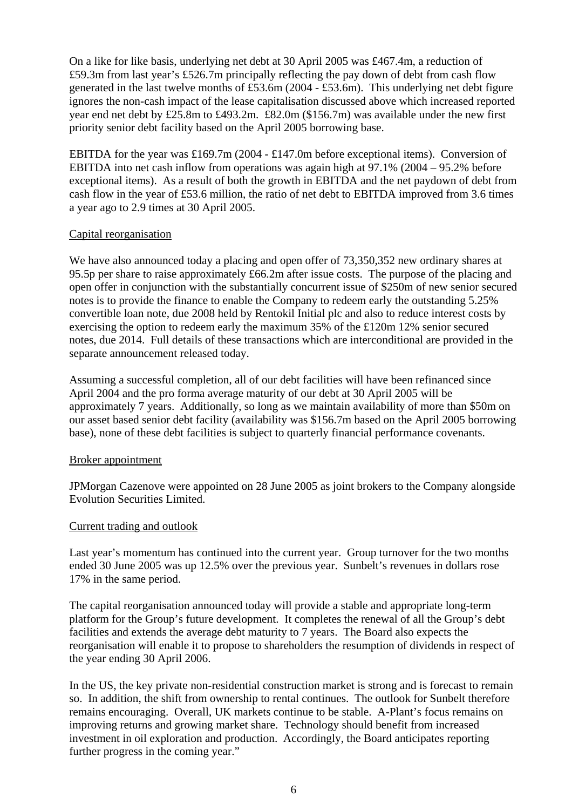On a like for like basis, underlying net debt at 30 April 2005 was £467.4m, a reduction of £59.3m from last year's £526.7m principally reflecting the pay down of debt from cash flow generated in the last twelve months of £53.6m (2004 - £53.6m). This underlying net debt figure ignores the non-cash impact of the lease capitalisation discussed above which increased reported year end net debt by £25.8m to £493.2m. £82.0m (\$156.7m) was available under the new first priority senior debt facility based on the April 2005 borrowing base.

EBITDA for the year was £169.7m (2004 - £147.0m before exceptional items). Conversion of EBITDA into net cash inflow from operations was again high at 97.1% (2004 – 95.2% before exceptional items). As a result of both the growth in EBITDA and the net paydown of debt from cash flow in the year of £53.6 million, the ratio of net debt to EBITDA improved from 3.6 times a year ago to 2.9 times at 30 April 2005.

# Capital reorganisation

We have also announced today a placing and open offer of 73,350,352 new ordinary shares at 95.5p per share to raise approximately £66.2m after issue costs. The purpose of the placing and open offer in conjunction with the substantially concurrent issue of \$250m of new senior secured notes is to provide the finance to enable the Company to redeem early the outstanding 5.25% convertible loan note, due 2008 held by Rentokil Initial plc and also to reduce interest costs by exercising the option to redeem early the maximum 35% of the £120m 12% senior secured notes, due 2014. Full details of these transactions which are interconditional are provided in the separate announcement released today.

Assuming a successful completion, all of our debt facilities will have been refinanced since April 2004 and the pro forma average maturity of our debt at 30 April 2005 will be approximately 7 years. Additionally, so long as we maintain availability of more than \$50m on our asset based senior debt facility (availability was \$156.7m based on the April 2005 borrowing base), none of these debt facilities is subject to quarterly financial performance covenants.

## Broker appointment

JPMorgan Cazenove were appointed on 28 June 2005 as joint brokers to the Company alongside Evolution Securities Limited.

# Current trading and outlook

Last year's momentum has continued into the current year. Group turnover for the two months ended 30 June 2005 was up 12.5% over the previous year. Sunbelt's revenues in dollars rose 17% in the same period.

The capital reorganisation announced today will provide a stable and appropriate long-term platform for the Group's future development. It completes the renewal of all the Group's debt facilities and extends the average debt maturity to 7 years. The Board also expects the reorganisation will enable it to propose to shareholders the resumption of dividends in respect of the year ending 30 April 2006.

In the US, the key private non-residential construction market is strong and is forecast to remain so. In addition, the shift from ownership to rental continues. The outlook for Sunbelt therefore remains encouraging. Overall, UK markets continue to be stable. A-Plant's focus remains on improving returns and growing market share. Technology should benefit from increased investment in oil exploration and production. Accordingly, the Board anticipates reporting further progress in the coming year."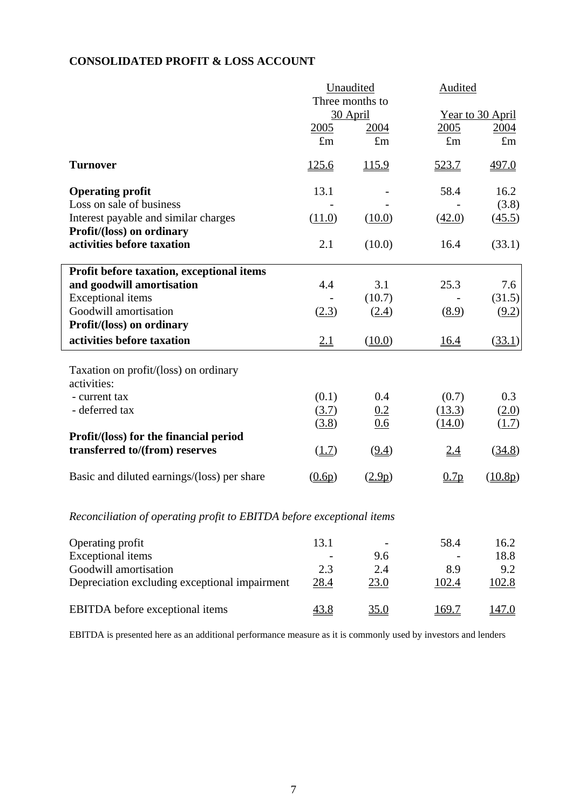# **CONSOLIDATED PROFIT & LOSS ACCOUNT**

|                                             | Unaudited<br>Three months to |              | Audited     |                  |
|---------------------------------------------|------------------------------|--------------|-------------|------------------|
|                                             |                              |              |             |                  |
|                                             |                              | 30 April     |             | Year to 30 April |
|                                             | 2005                         | 2004         | 2005        | 2004             |
|                                             | $\pounds$ m                  | $\pounds$ m  | $\pounds$ m | $\pounds$ m      |
| <b>Turnover</b>                             | <u>125.6</u>                 | <u>115.9</u> | 523.7       | 497.0            |
| <b>Operating profit</b>                     | 13.1                         |              | 58.4        | 16.2             |
| Loss on sale of business                    |                              |              |             | (3.8)            |
| Interest payable and similar charges        | (11.0)                       | (10.0)       | (42.0)      | (45.5)           |
| Profit/(loss) on ordinary                   |                              |              |             |                  |
| activities before taxation                  | 2.1                          | (10.0)       | 16.4        | (33.1)           |
| Profit before taxation, exceptional items   |                              |              |             |                  |
| and goodwill amortisation                   | 4.4                          | 3.1          | 25.3        | 7.6              |
| <b>Exceptional</b> items                    |                              | (10.7)       |             | (31.5)           |
| Goodwill amortisation                       | (2.3)                        | (2.4)        | (8.9)       | (9.2)            |
| Profit/(loss) on ordinary                   |                              |              |             |                  |
| activities before taxation                  | 2.1                          | (10.0)       | <u>16.4</u> | (33.1)           |
| Taxation on profit/(loss) on ordinary       |                              |              |             |                  |
| activities:                                 |                              |              |             |                  |
| - current tax                               | (0.1)                        | 0.4          | (0.7)       | 0.3              |
| - deferred tax                              | (3.7)                        | 0.2          | (13.3)      | (2.0)            |
|                                             | (3.8)                        | 0.6          | (14.0)      | (1.7)            |
| Profit/(loss) for the financial period      |                              |              |             |                  |
| transferred to/(from) reserves              | (1.7)                        | (9.4)        | <u>2.4</u>  | (34.8)           |
| Basic and diluted earnings/(loss) per share | (0.6p)                       | (2.9p)       | 0.7p        | (10.8p)          |
|                                             |                              |              |             |                  |

# *Reconciliation of operating profit to EBITDA before exceptional items*

| Operating profit                              | 13.1        | $\overline{\phantom{0}}$ | 58.4  | 16.2  |
|-----------------------------------------------|-------------|--------------------------|-------|-------|
| <b>Exceptional</b> items                      |             | 9.6                      |       | 18.8  |
| Goodwill amortisation                         | 2.3         | 2.4                      | 8.9   | 9.2   |
| Depreciation excluding exceptional impairment | 28.4        | 23.0                     | 102.4 | 102.8 |
| <b>EBITDA</b> before exceptional items        | <u>43.8</u> | <u>35.0</u>              | 169.7 | 147.0 |

EBITDA is presented here as an additional performance measure as it is commonly used by investors and lenders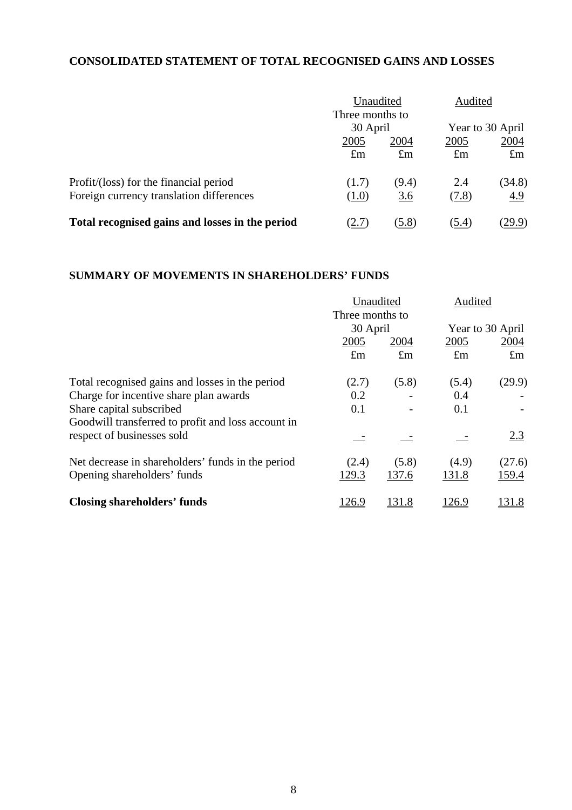# **CONSOLIDATED STATEMENT OF TOTAL RECOGNISED GAINS AND LOSSES**

|                                                 | Unaudited<br>Three months to |             | Audited     |                  |  |
|-------------------------------------------------|------------------------------|-------------|-------------|------------------|--|
|                                                 |                              | 30 April    |             | Year to 30 April |  |
|                                                 | 2005                         | <u>2004</u> | 2005        | <u>2004</u>      |  |
|                                                 | $\pounds$ m                  | $\pounds$ m | $\pounds$ m | $\pounds$ m      |  |
| Profit/(loss) for the financial period          | (1.7)                        | (9.4)       | 2.4         | (34.8)           |  |
| Foreign currency translation differences        | (1.0)                        | <u>3.6</u>  | (7.8)       | 4.9              |  |
| Total recognised gains and losses in the period | 2.7                          | (5.8)       | (5.4)       | <u>29.9)</u>     |  |

# **SUMMARY OF MOVEMENTS IN SHAREHOLDERS' FUNDS**

|                                                    | Unaudited       |             | Audited          |             |  |
|----------------------------------------------------|-----------------|-------------|------------------|-------------|--|
|                                                    | Three months to |             |                  |             |  |
|                                                    | 30 April        |             | Year to 30 April |             |  |
|                                                    | 2005<br>2004    |             | 2005             | 2004        |  |
|                                                    | $\pounds$ m     | $\pounds$ m | $\pounds$ m      | $\pounds$ m |  |
| Total recognised gains and losses in the period    | (2.7)           | (5.8)       | (5.4)            | (29.9)      |  |
| Charge for incentive share plan awards             | 0.2             |             | 0.4              |             |  |
| Share capital subscribed                           | 0.1             |             | 0.1              |             |  |
| Goodwill transferred to profit and loss account in |                 |             |                  |             |  |
| respect of businesses sold                         |                 |             |                  | 2.3         |  |
| Net decrease in shareholders' funds in the period  | (2.4)           | (5.8)       | (4.9)            | (27.6)      |  |
| Opening shareholders' funds                        | 129.3           | 137.6       | 131.8            | 159.4       |  |
| <b>Closing shareholders' funds</b>                 | 126.9           | 131.8       | 126.9            | 131.8       |  |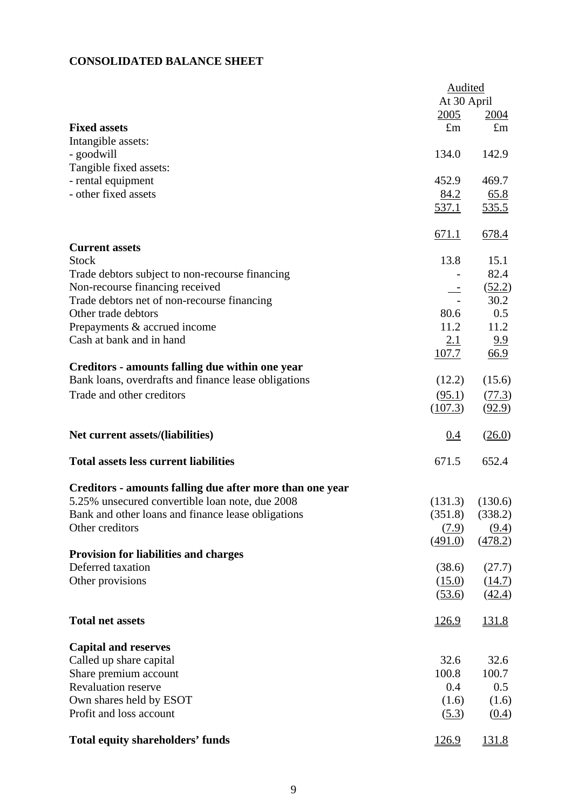# **CONSOLIDATED BALANCE SHEET**

|                                                          | Audited<br>At 30 April |                     |  |
|----------------------------------------------------------|------------------------|---------------------|--|
|                                                          |                        |                     |  |
| <b>Fixed assets</b>                                      | 2005<br>$\pounds$ m    | 2004<br>$\pounds$ m |  |
|                                                          |                        |                     |  |
| Intangible assets:<br>- goodwill                         | 134.0                  | 142.9               |  |
|                                                          |                        |                     |  |
| Tangible fixed assets:                                   |                        | 469.7               |  |
| - rental equipment                                       | 452.9                  |                     |  |
| - other fixed assets                                     | 84.2                   | 65.8                |  |
|                                                          | <u>537.1</u>           | <u>535.5</u>        |  |
|                                                          | 671.1                  | 678.4               |  |
| <b>Current assets</b>                                    |                        |                     |  |
| <b>Stock</b>                                             | 13.8                   | 15.1                |  |
| Trade debtors subject to non-recourse financing          |                        | 82.4                |  |
| Non-recourse financing received                          |                        | (52.2)              |  |
| Trade debtors net of non-recourse financing              |                        | 30.2                |  |
| Other trade debtors                                      | 80.6                   | 0.5                 |  |
| Prepayments & accrued income                             | 11.2                   | 11.2                |  |
| Cash at bank and in hand                                 | 2.1                    | 9.9                 |  |
|                                                          | 107.7                  | 66.9                |  |
| Creditors - amounts falling due within one year          |                        |                     |  |
| Bank loans, overdrafts and finance lease obligations     | (12.2)                 | (15.6)              |  |
| Trade and other creditors                                | (95.1)                 | (77.3)              |  |
|                                                          | (107.3)                | (92.9)              |  |
| Net current assets/(liabilities)                         | 0.4                    | (26.0)              |  |
| <b>Total assets less current liabilities</b>             | 671.5                  | 652.4               |  |
| Creditors - amounts falling due after more than one year |                        |                     |  |
| 5.25% unsecured convertible loan note, due 2008          | (131.3)                | (130.6)             |  |
| Bank and other loans and finance lease obligations       |                        | $(351.8)$ $(338.2)$ |  |
| Other creditors                                          | (7.9)                  | (9.4)               |  |
|                                                          | (491.0)                | (478.2)             |  |
| <b>Provision for liabilities and charges</b>             |                        |                     |  |
| Deferred taxation                                        | (38.6)                 | (27.7)              |  |
| Other provisions                                         | (15.0)                 | (14.7)              |  |
|                                                          | (53.6)                 | (42.4)              |  |
| <b>Total net assets</b>                                  | 126.9                  | <u>131.8</u>        |  |
| <b>Capital and reserves</b>                              |                        |                     |  |
| Called up share capital                                  | 32.6                   | 32.6                |  |
| Share premium account                                    | 100.8                  | 100.7               |  |
| <b>Revaluation reserve</b>                               | 0.4                    | 0.5                 |  |
| Own shares held by ESOT                                  | (1.6)                  | (1.6)               |  |
| Profit and loss account                                  | (5.3)                  | (0.4)               |  |
| <b>Total equity shareholders' funds</b>                  | 126.9                  | 131.8               |  |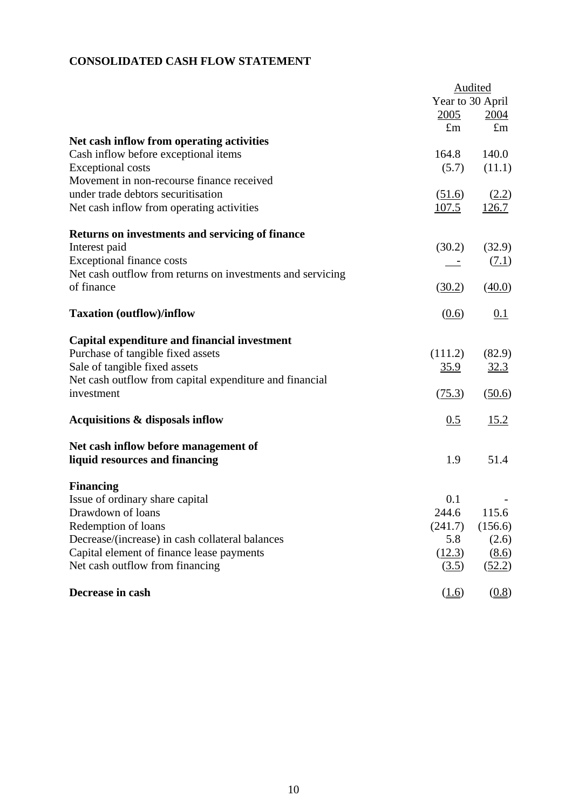# **CONSOLIDATED CASH FLOW STATEMENT**

|                                                            |             | Audited          |
|------------------------------------------------------------|-------------|------------------|
|                                                            |             | Year to 30 April |
|                                                            | 2005        | <u>2004</u>      |
|                                                            | $\pounds$ m | $\pounds$ m      |
| Net cash inflow from operating activities                  |             |                  |
| Cash inflow before exceptional items                       | 164.8       | 140.0            |
| <b>Exceptional costs</b>                                   | (5.7)       | (11.1)           |
| Movement in non-recourse finance received                  |             |                  |
| under trade debtors securitisation                         | (51.6)      | (2.2)            |
| Net cash inflow from operating activities                  | 107.5       | 126.7            |
| Returns on investments and servicing of finance            |             |                  |
| Interest paid                                              | (30.2)      | (32.9)           |
| <b>Exceptional finance costs</b>                           |             | (7.1)            |
| Net cash outflow from returns on investments and servicing |             |                  |
| of finance                                                 | (30.2)      | (40.0)           |
| <b>Taxation (outflow)/inflow</b>                           | (0.6)       | 0.1              |
| Capital expenditure and financial investment               |             |                  |
| Purchase of tangible fixed assets                          | (111.2)     | (82.9)           |
| Sale of tangible fixed assets                              | <u>35.9</u> | 32.3             |
| Net cash outflow from capital expenditure and financial    |             |                  |
| investment                                                 | (75.3)      | (50.6)           |
| Acquisitions & disposals inflow                            | 0.5         | 15.2             |
| Net cash inflow before management of                       |             |                  |
| liquid resources and financing                             | 1.9         | 51.4             |
| <b>Financing</b>                                           |             |                  |
| Issue of ordinary share capital                            | 0.1         |                  |
| Drawdown of loans                                          | 244.6       | 115.6            |
| Redemption of loans                                        | (241.7)     | (156.6)          |
| Decrease/(increase) in cash collateral balances            | 5.8         | (2.6)            |
| Capital element of finance lease payments                  | (12.3)      | (8.6)            |
| Net cash outflow from financing                            | (3.5)       | (52.2)           |
| Decrease in cash                                           | (1.6)       | (0.8)            |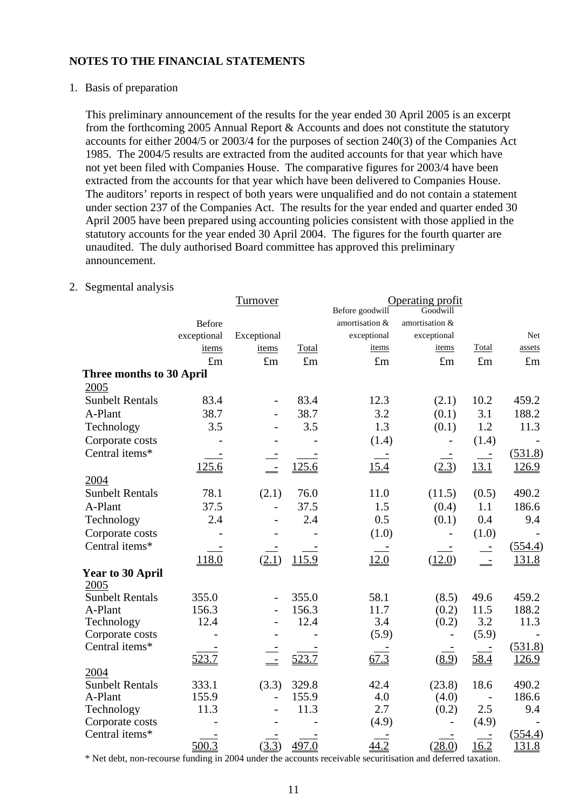## 1. Basis of preparation

This preliminary announcement of the results for the year ended 30 April 2005 is an excerpt from the forthcoming 2005 Annual Report & Accounts and does not constitute the statutory accounts for either 2004/5 or 2003/4 for the purposes of section 240(3) of the Companies Act 1985. The 2004/5 results are extracted from the audited accounts for that year which have not yet been filed with Companies House. The comparative figures for 2003/4 have been extracted from the accounts for that year which have been delivered to Companies House. The auditors' reports in respect of both years were unqualified and do not contain a statement under section 237 of the Companies Act. The results for the year ended and quarter ended 30 April 2005 have been prepared using accounting policies consistent with those applied in the statutory accounts for the year ended 30 April 2004. The figures for the fourth quarter are unaudited. The duly authorised Board committee has approved this preliminary announcement.

# 2. Segmental analysis

|                          |               | <b>Turnover</b>          |             | Operating profit |                |             |              |
|--------------------------|---------------|--------------------------|-------------|------------------|----------------|-------------|--------------|
|                          |               |                          |             | Before goodwill  | Goodwill       |             |              |
|                          | <b>Before</b> |                          |             | amortisation &   | amortisation & |             |              |
|                          | exceptional   | Exceptional              |             | exceptional      | exceptional    |             | Net          |
|                          | items         | items                    | Total       | items            | items          | Total       | assets       |
|                          | $\pounds$ m   | $\pounds$ m              | $\pounds$ m | $\pounds$ m      | $\pounds$ m    | $\pounds$ m | $\pounds$ m  |
| Three months to 30 April |               |                          |             |                  |                |             |              |
| 2005                     |               |                          |             |                  |                |             |              |
| <b>Sunbelt Rentals</b>   | 83.4          | $\overline{\phantom{0}}$ | 83.4        | 12.3             | (2.1)          | 10.2        | 459.2        |
| A-Plant                  | 38.7          |                          | 38.7        | 3.2              | (0.1)          | 3.1         | 188.2        |
| Technology               | 3.5           |                          | 3.5         | 1.3              | (0.1)          | 1.2         | 11.3         |
| Corporate costs          |               |                          |             | (1.4)            |                | (1.4)       |              |
| Central items*           |               |                          |             |                  |                |             | (531.8)      |
|                          | 125.6         |                          | 125.6       | 15.4             | (2.3)          | 13.1        | <u>126.9</u> |
| 2004                     |               |                          |             |                  |                |             |              |
| <b>Sunbelt Rentals</b>   | 78.1          | (2.1)                    | 76.0        | 11.0             | (11.5)         | (0.5)       | 490.2        |
| A-Plant                  | 37.5          | $\overline{a}$           | 37.5        | 1.5              | (0.4)          | 1.1         | 186.6        |
| Technology               | 2.4           | $\overline{a}$           | 2.4         | 0.5              | (0.1)          | 0.4         | 9.4          |
| Corporate costs          |               |                          |             | (1.0)            |                | (1.0)       |              |
| Central items*           |               |                          |             |                  |                | $\equiv$    | (554.4)      |
|                          | 118.0         | (2.1)                    | 115.9       | 12.0             | (12.0)         | $\equiv$    | 131.8        |
| Year to 30 April         |               |                          |             |                  |                |             |              |
| 2005                     |               |                          |             |                  |                |             |              |
| <b>Sunbelt Rentals</b>   | 355.0         | $\overline{a}$           | 355.0       | 58.1             | (8.5)          | 49.6        | 459.2        |
| A-Plant                  | 156.3         | $\overline{a}$           | 156.3       | 11.7             | (0.2)          | 11.5        | 188.2        |
| Technology               | 12.4          |                          | 12.4        | 3.4              | (0.2)          | 3.2         | 11.3         |
| Corporate costs          |               |                          |             | (5.9)            |                | (5.9)       |              |
| Central items*           |               |                          |             |                  |                |             | (531.8)      |
|                          | 523.7         |                          | 523.7       | 67.3             | (8.9)          | 58.4        | <u>126.9</u> |
| 2004                     |               |                          |             |                  |                |             |              |
| <b>Sunbelt Rentals</b>   | 333.1         | (3.3)                    | 329.8       | 42.4             | (23.8)         | 18.6        | 490.2        |
| A-Plant                  | 155.9         | $\overline{a}$           | 155.9       | 4.0              | (4.0)          |             | 186.6        |
| Technology               | 11.3          |                          | 11.3        | 2.7              | (0.2)          | 2.5         | 9.4          |
| Corporate costs          |               |                          |             | (4.9)            |                | (4.9)       |              |
| Central items*           |               |                          |             |                  |                |             | (554.4)      |
|                          | 500.3         | (3.3)                    | 497.0       | 44.2             | (28.0)         | 16.2        | 131.8        |

\* Net debt, non-recourse funding in 2004 under the accounts receivable securitisation and deferred taxation.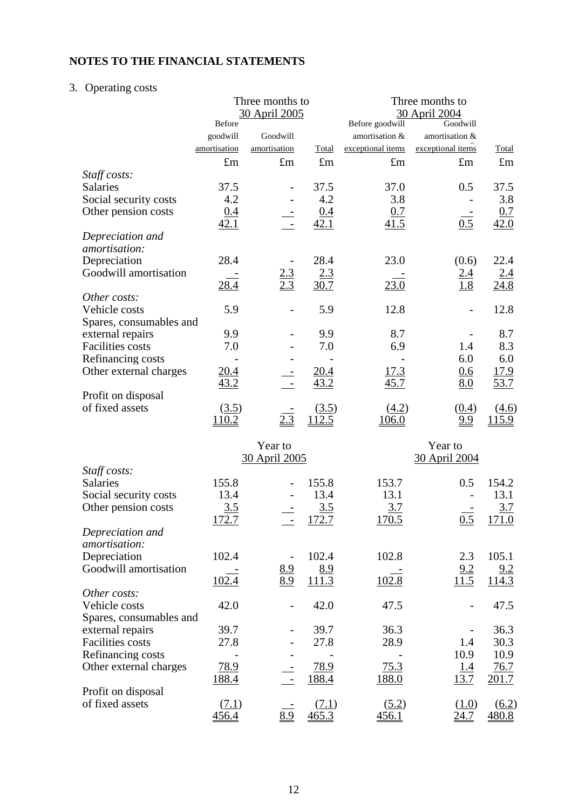# 3. Operating costs

|                         |              | Three months to<br>30 April 2005 |              |                   | Three months to<br>30 April 2004 |                     |
|-------------------------|--------------|----------------------------------|--------------|-------------------|----------------------------------|---------------------|
|                         | Before       |                                  |              | Before goodwill   | Goodwill                         |                     |
|                         | goodwill     | Goodwill                         |              | amortisation &    | amortisation &                   |                     |
|                         | amortisation | amortisation                     | Total        | exceptional items | exceptional items                | Total               |
|                         | $\pounds$ m  | $\pounds$ m                      | $\pounds$ m  | $\pounds$ m       | $\pounds$ m                      | $\pounds$ m         |
| Staff costs:            |              |                                  |              |                   |                                  |                     |
| Salaries                | 37.5         |                                  | 37.5         | 37.0              | 0.5                              | 37.5                |
| Social security costs   | 4.2          |                                  | 4.2          | 3.8               |                                  | 3.8                 |
| Other pension costs     | 0.4          |                                  | 0.4          | 0.7               |                                  | 0.7                 |
|                         | 42.1         | $\sim$ $-$                       | 42.1         | 41.5              | $\overline{0.5}$                 | 42.0                |
| Depreciation and        |              |                                  |              |                   |                                  |                     |
| amortisation:           |              |                                  |              |                   |                                  |                     |
| Depreciation            | 28.4         |                                  | 28.4         | 23.0              | (0.6)                            | 22.4                |
| Goodwill amortisation   |              | $\frac{2.3}{2.3}$                | 2.3          |                   | 2.4                              | 2.4                 |
|                         | <u>28.4</u>  |                                  | 30.7         | 23.0              | 1.8                              | 24.8                |
| Other costs:            |              |                                  |              |                   |                                  |                     |
| Vehicle costs           | 5.9          |                                  | 5.9          | 12.8              |                                  | 12.8                |
| Spares, consumables and |              |                                  |              |                   |                                  |                     |
| external repairs        | 9.9          |                                  | 9.9          | 8.7               |                                  | 8.7                 |
| <b>Facilities</b> costs | 7.0          |                                  | 7.0          | 6.9               | 1.4                              | 8.3                 |
| Refinancing costs       |              |                                  |              |                   | 6.0                              | 6.0                 |
| Other external charges  | 20.4         |                                  | <u>20.4</u>  | <u>17.3</u>       | 0.6                              | 17.9                |
|                         | 43.2         |                                  | 43.2         | 45.7              | 8.0                              | 53.7                |
| Profit on disposal      |              |                                  |              |                   |                                  |                     |
| of fixed assets         | (3.5)        |                                  | (3.5)        | (4.2)             | (0.4)                            | (4.6)               |
|                         | 110.2        | 2.3                              | <u>112.5</u> | 106.0             | 9.9                              | <u> 115.9</u>       |
|                         |              |                                  |              |                   |                                  |                     |
|                         |              | Year to                          |              |                   | Year to                          |                     |
|                         |              | <u>30 April 2005</u>             |              |                   | 30 April 2004                    |                     |
| Staff costs:            |              |                                  |              |                   |                                  |                     |
| Salaries                | 155.8        |                                  | 155.8        | 153.7             | 0.5                              | 154.2               |
| Social security costs   | 13.4         |                                  | 13.4         | 13.1              |                                  | 13.1                |
| Other pension costs     | 3.5          |                                  | 3.5          | <u>3.7</u>        |                                  | 3.7                 |
|                         | 172.7        |                                  | 172.7        | 170.5             | $\overline{0.5}$                 | 171.0               |
| Depreciation and        |              |                                  |              |                   |                                  |                     |
| amortisation:           |              |                                  |              |                   |                                  |                     |
| Depreciation            | 102.4        |                                  | 102.4        | 102.8             | 2.3                              | 105.1               |
| Goodwill amortisation   |              | $\frac{8.9}{8.9}$                | 8.9          |                   | $\frac{9.2}{11.5}$               | 9.2                 |
|                         | 102.4        |                                  | 111.3        | 102.8             |                                  | 114.3               |
| Other costs:            |              |                                  |              |                   |                                  |                     |
| Vehicle costs           | 42.0         |                                  | 42.0         | 47.5              |                                  | 47.5                |
| Spares, consumables and |              |                                  |              |                   |                                  |                     |
| external repairs        | 39.7         |                                  | 39.7         | 36.3              |                                  | 36.3                |
| <b>Facilities</b> costs | 27.8         |                                  | 27.8         | 28.9              | 1.4                              | 30.3                |
| Refinancing costs       |              |                                  |              |                   | 10.9                             | 10.9                |
| Other external charges  | 78.9         |                                  | 78.9         | 75.3              | <u>1.4</u>                       | 76.7                |
|                         | 188.4        |                                  | 188.4        | 188.0             | 13.7                             | 201.7               |
| Profit on disposal      |              |                                  |              |                   |                                  |                     |
| of fixed assets         | (7.1)        |                                  | (7.1)        | (5.2)             | (1.0)                            | $\underline{(6.2)}$ |
|                         | 456.4        | 8.9                              | 465.3        | 456.1             | <u>24.7</u>                      | 480.8               |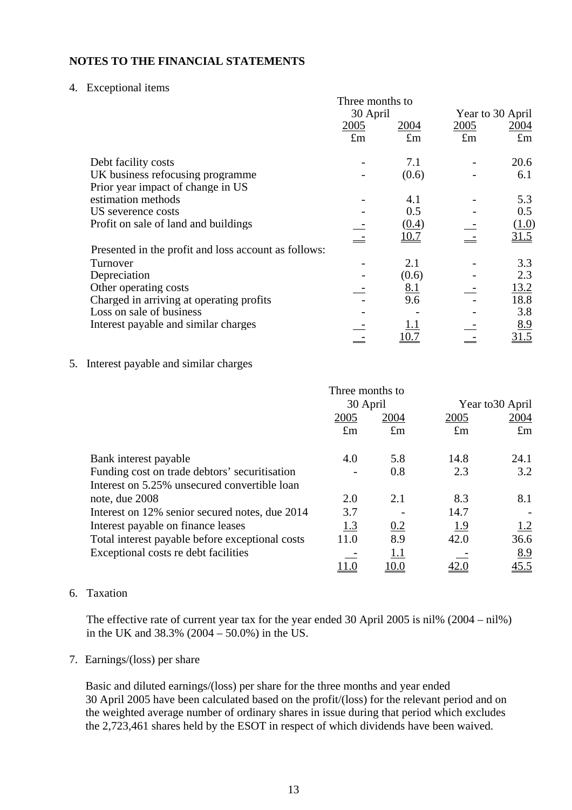## 4. Exceptional items

|                                                      | Three months to |             |             |                  |
|------------------------------------------------------|-----------------|-------------|-------------|------------------|
|                                                      | 30 April        |             |             | Year to 30 April |
|                                                      | 2005            | 2004        | 2005        | 2004             |
|                                                      | $\pounds$ m     | $\pounds$ m | $\pounds$ m | $\pounds$ m      |
| Debt facility costs                                  |                 | 7.1         |             | 20.6             |
| UK business refocusing programme                     |                 | (0.6)       |             | 6.1              |
| Prior year impact of change in US                    |                 |             |             |                  |
| estimation methods                                   |                 | 4.1         |             | 5.3              |
| US severence costs                                   |                 | 0.5         |             | 0.5              |
| Profit on sale of land and buildings                 |                 | (0.4)       |             | ( <u>1.0</u> )   |
|                                                      |                 | <u>10.7</u> |             | 31.5             |
| Presented in the profit and loss account as follows: |                 |             |             |                  |
| Turnover                                             |                 | 2.1         |             | 3.3              |
| Depreciation                                         |                 | (0.6)       |             | 2.3              |
| Other operating costs                                |                 | <u>8.1</u>  |             | 13.2             |
| Charged in arriving at operating profits             |                 | 9.6         |             | 18.8             |
| Loss on sale of business                             |                 |             |             | 3.8              |
| Interest payable and similar charges                 |                 |             |             | 8.9              |
|                                                      |                 |             |             | 31.5             |

# 5. Interest payable and similar charges

|                                                 | Three months to |             |             |                  |  |
|-------------------------------------------------|-----------------|-------------|-------------|------------------|--|
|                                                 | 30 April        |             |             | Year to 30 April |  |
|                                                 | 2005<br>2004    |             | 2005        | 2004             |  |
|                                                 | $\pounds$ m     | $\pounds$ m | $\pounds$ m | $\pounds$ m      |  |
| Bank interest payable                           | 4.0             | 5.8         | 14.8        | 24.1             |  |
| Funding cost on trade debtors' securitisation   |                 | 0.8         | 2.3         | 3.2              |  |
| Interest on 5.25% unsecured convertible loan    |                 |             |             |                  |  |
| note, due 2008                                  | 2.0             | 2.1         | 8.3         | 8.1              |  |
| Interest on 12% senior secured notes, due 2014  | 3.7             |             | 14.7        |                  |  |
| Interest payable on finance leases              | 1.3             | 0.2         | <u>1.9</u>  | 1.2              |  |
| Total interest payable before exceptional costs | 11.0            | 8.9         | 42.0        | 36.6             |  |
| Exceptional costs re debt facilities            |                 | 1.1         |             | 8.9              |  |
|                                                 |                 | 10.0        |             | 45.5             |  |

## 6. Taxation

The effective rate of current year tax for the year ended 30 April 2005 is nil% (2004 – nil%) in the UK and 38.3% (2004 – 50.0%) in the US.

# 7. Earnings/(loss) per share

Basic and diluted earnings/(loss) per share for the three months and year ended 30 April 2005 have been calculated based on the profit/(loss) for the relevant period and on the weighted average number of ordinary shares in issue during that period which excludes the 2,723,461 shares held by the ESOT in respect of which dividends have been waived.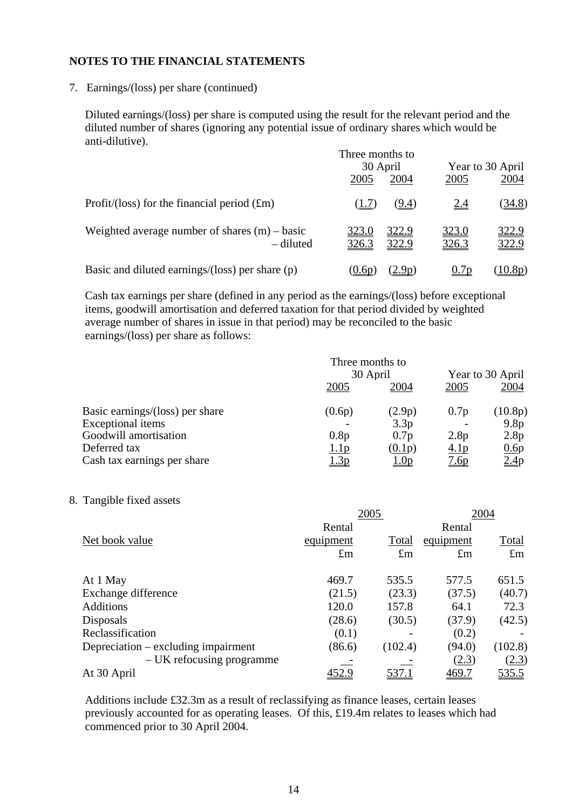7. Earnings/(loss) per share (continued)

Diluted earnings/(loss) per share is computed using the result for the relevant period and the diluted number of shares (ignoring any potential issue of ordinary shares which would be anti-dilutive).

|                                                              | Three months to<br>30 April |                       | Year to 30 April |                |
|--------------------------------------------------------------|-----------------------------|-----------------------|------------------|----------------|
|                                                              | 2005                        | 2004                  | 2005             | 2004           |
| Profit/(loss) for the financial period $(fm)$                | (1.7)                       | <u>(9.4)</u>          | <u>2.4</u>       | <u>(34.8)</u>  |
| Weighted average number of shares $(m)$ – basic<br>– diluted | <u>323.0</u><br>326.3       | <u>322.9</u><br>322.9 | 323.0<br>326.3   | 322.9<br>322.9 |
| Basic and diluted earnings/(loss) per share $(p)$            | (0.6p)                      | <u>2.9p</u> )         | 0.7p             | $10.8p$ )      |

Cash tax earnings per share (defined in any period as the earnings/(loss) before exceptional items, goodwill amortisation and deferred taxation for that period divided by weighted average number of shares in issue in that period) may be reconciled to the basic earnings/(loss) per share as follows:

|                                 | Three months to<br>30 April |                  |                  | Year to 30 April |  |  |
|---------------------------------|-----------------------------|------------------|------------------|------------------|--|--|
|                                 | 2005                        | 2004             | 2005             | 2004             |  |  |
| Basic earnings/(loss) per share | (0.6p)                      | (2.9p)           | 0.7p             | (10.8p)          |  |  |
| <b>Exceptional</b> items        |                             | 3.3p             |                  | 9.8 <sub>p</sub> |  |  |
| Goodwill amortisation           | 0.8p                        | 0.7 <sub>p</sub> | 2.8p             | 2.8p             |  |  |
| Deferred tax                    | 1.1 <sub>p</sub>            | (0.1p)           | 4.1 <sub>p</sub> | 0.6p             |  |  |
| Cash tax earnings per share     | <u>l.3p</u>                 | <u> 1.0p</u>     | <u>7.6p</u>      | 2.4p             |  |  |

8. Tangible fixed assets

|                                     | 2005        |             | 2004         |              |  |
|-------------------------------------|-------------|-------------|--------------|--------------|--|
|                                     | Rental      |             | Rental       |              |  |
| Net book value                      | equipment   | Total       | equipment    | Total        |  |
|                                     | $\pounds$ m | $\pounds$ m | $\pounds$ m  | $\pounds$ m  |  |
| At 1 May                            | 469.7       | 535.5       | 577.5        | 651.5        |  |
| Exchange difference                 | (21.5)      | (23.3)      | (37.5)       | (40.7)       |  |
| Additions                           | 120.0       | 157.8       | 64.1         | 72.3         |  |
| Disposals                           | (28.6)      | (30.5)      | (37.9)       | (42.5)       |  |
| Reclassification                    | (0.1)       |             | (0.2)        |              |  |
| Depreciation – excluding impairment | (86.6)      | (102.4)     | (94.0)       | (102.8)      |  |
| – UK refocusing programme           |             |             | (2.3)        | (2.3)        |  |
| At 30 April                         | 452.9       | 537.1       | <u>469.7</u> | <u>535.5</u> |  |

Additions include £32.3m as a result of reclassifying as finance leases, certain leases previously accounted for as operating leases. Of this, £19.4m relates to leases which had commenced prior to 30 April 2004.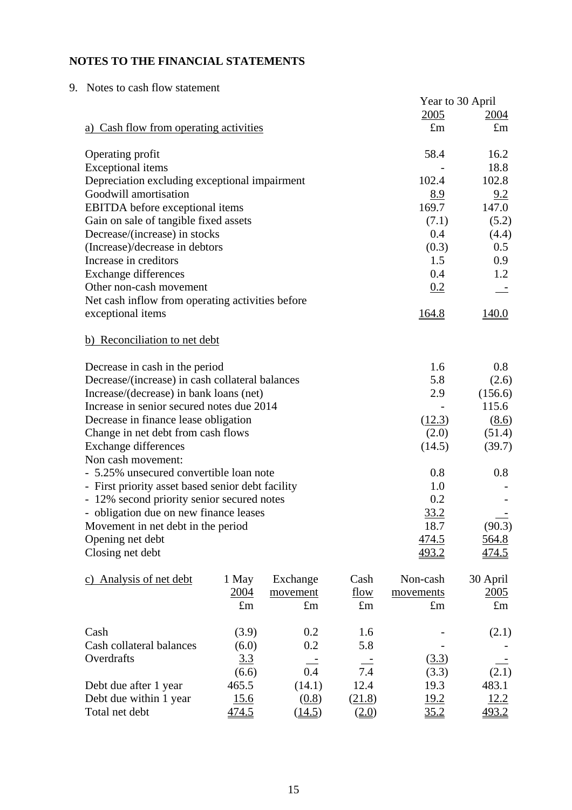| 9. Notes to cash flow statement                   |      |                  |              |
|---------------------------------------------------|------|------------------|--------------|
|                                                   |      | Year to 30 April |              |
|                                                   |      | 2005             | <u>2004</u>  |
| a) Cash flow from operating activities            |      | $\pounds$ m      | $\pounds$ m  |
| Operating profit                                  |      | 58.4             | 16.2         |
| <b>Exceptional</b> items                          |      |                  | 18.8         |
| Depreciation excluding exceptional impairment     |      | 102.4            | 102.8        |
| Goodwill amortisation                             |      | <u>8.9</u>       | 9.2          |
| EBITDA before exceptional items                   |      | 169.7            | 147.0        |
| Gain on sale of tangible fixed assets             |      | (7.1)            | (5.2)        |
| Decrease/(increase) in stocks                     |      | 0.4              | (4.4)        |
| (Increase)/decrease in debtors                    |      | (0.3)            | 0.5          |
| Increase in creditors                             |      | 1.5              | 0.9          |
| <b>Exchange differences</b>                       |      | 0.4              | 1.2          |
| Other non-cash movement                           |      | 0.2              |              |
| Net cash inflow from operating activities before  |      |                  |              |
| exceptional items                                 |      | <u>164.8</u>     | <u>140.0</u> |
| b) Reconciliation to net debt                     |      |                  |              |
| Decrease in cash in the period                    |      | 1.6              | 0.8          |
| Decrease/(increase) in cash collateral balances   |      | 5.8              | (2.6)        |
| Increase/(decrease) in bank loans (net)           |      | 2.9              | (156.6)      |
| Increase in senior secured notes due 2014         |      |                  | 115.6        |
| Decrease in finance lease obligation              |      | (12.3)           | (8.6)        |
| Change in net debt from cash flows                |      | (2.0)            | (51.4)       |
| <b>Exchange differences</b>                       |      | (14.5)           | (39.7)       |
| Non cash movement:                                |      |                  |              |
| - 5.25% unsecured convertible loan note           |      | 0.8              | 0.8          |
| - First priority asset based senior debt facility |      | 1.0              |              |
| - 12% second priority senior secured notes        |      | 0.2              |              |
| - obligation due on new finance leases            |      | 33.2             |              |
| Movement in net debt in the period                |      | 18.7             | (90.3)       |
| Opening net debt                                  |      | <u>474.5</u>     | <u>564.8</u> |
| Closing net debt                                  |      | 493.2            | 474.5        |
| c) Analysis of net debt<br>Exchange<br>1 May      | Cash | Non-cash         | 30 April     |

| $1 \text{ m}$ , $1 \text{ m}$ of $1 \text{ m}$ $\alpha$ $\beta$ | <b>AIAW</b> |             | -----              |             | $\sim$ $\sim$ $\sim$ $\sim$ $\sim$ |
|-----------------------------------------------------------------|-------------|-------------|--------------------|-------------|------------------------------------|
|                                                                 | 2004        | movement    | flow               | movements   | 2005                               |
|                                                                 | $\pounds$ m | $\pounds$ m | $\pounds$ m        | $\pounds$ m | $\pounds$ m                        |
| Cash                                                            | (3.9)       | 0.2         | 1.6                |             | (2.1)                              |
| Cash collateral balances                                        | (6.0)       | 0.2         | 5.8                |             |                                    |
| Overdrafts                                                      | <u>3.3</u>  |             |                    | (3.3)       |                                    |
|                                                                 | (6.6)       | 0.4         | 7.4                | (3.3)       | (2.1)                              |
| Debt due after 1 year                                           | 465.5       | (14.1)      | 12.4               | 19.3        | 483.1                              |
| Debt due within 1 year                                          | 15.6        | (0.8)       | (21.8)             | 19.2        | 12.2                               |
| Total net debt                                                  | 74.5        | (14.5)      | $\left(2.0\right)$ | <u>35.2</u> |                                    |
|                                                                 |             |             |                    |             |                                    |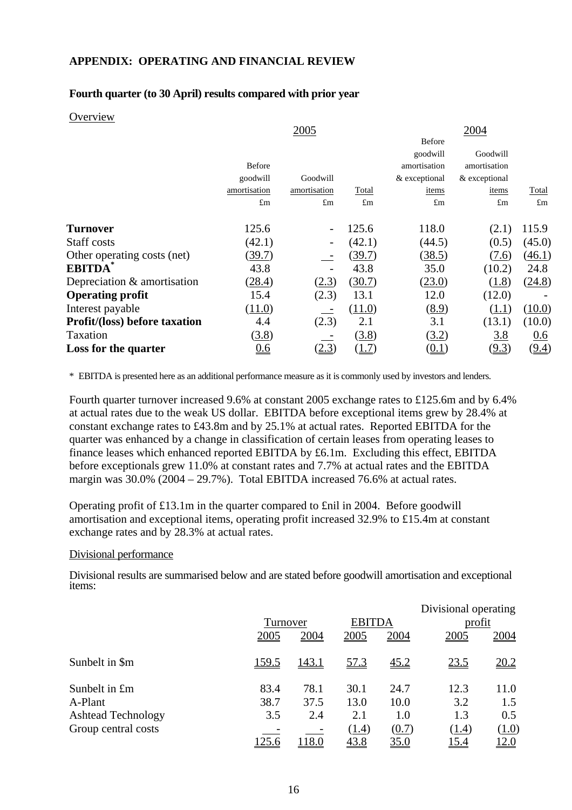### **APPENDIX: OPERATING AND FINANCIAL REVIEW**

### **Fourth quarter (to 30 April) results compared with prior year**

#### **Overview**

|               | 2005         |             |               | 2004          |              |
|---------------|--------------|-------------|---------------|---------------|--------------|
|               |              |             | Before        |               |              |
|               |              |             | goodwill      | Goodwill      |              |
| <b>Before</b> |              |             | amortisation  | amortisation  |              |
| goodwill      | Goodwill     |             | & exceptional | & exceptional |              |
| amortisation  | amortisation | Total       | items         | items         | <b>Total</b> |
| $\pounds$ m   | $\pounds$ m  | $\pounds$ m | $\pounds$ m   | $\pounds$ m   | $\pounds$ m  |
|               |              |             |               |               |              |
| 125.6         |              | 125.6       | 118.0         | (2.1)         | 115.9        |
| (42.1)        |              | (42.1)      | (44.5)        | (0.5)         | (45.0)       |
| (39.7)        |              | (39.7)      | (38.5)        | (7.6)         | (46.1)       |
| 43.8          |              | 43.8        | 35.0          | (10.2)        | 24.8         |
| (28.4)        | (2.3)        | (30.7)      | (23.0)        | (1.8)         | (24.8)       |
| 15.4          | (2.3)        | 13.1        | 12.0          | (12.0)        |              |
| (11.0)        |              | (11.0)      | (8.9)         | (1.1)         | (10.0)       |
| 4.4           | (2.3)        | 2.1         | 3.1           | (13.1)        | (10.0)       |
| (3.8)         |              | (3.8)       | (3.2)         | <u>3.8</u>    | 0.6          |
| <u>0.6</u>    | (2.3)        | (1.7)       | (0.1)         | <u>(9.3)</u>  | (9.4)        |
|               |              |             |               |               |              |

\* EBITDA is presented here as an additional performance measure as it is commonly used by investors and lenders.

Fourth quarter turnover increased 9.6% at constant 2005 exchange rates to £125.6m and by 6.4% at actual rates due to the weak US dollar. EBITDA before exceptional items grew by 28.4% at constant exchange rates to £43.8m and by 25.1% at actual rates. Reported EBITDA for the quarter was enhanced by a change in classification of certain leases from operating leases to finance leases which enhanced reported EBITDA by £6.1m. Excluding this effect, EBITDA before exceptionals grew 11.0% at constant rates and 7.7% at actual rates and the EBITDA margin was 30.0% (2004 – 29.7%). Total EBITDA increased 76.6% at actual rates.

Operating profit of £13.1m in the quarter compared to £nil in 2004. Before goodwill amortisation and exceptional items, operating profit increased 32.9% to £15.4m at constant exchange rates and by 28.3% at actual rates.

#### Divisional performance

Divisional results are summarised below and are stated before goodwill amortisation and exceptional items:

|                           |              |              |               |             | Divisional operating |       |
|---------------------------|--------------|--------------|---------------|-------------|----------------------|-------|
|                           | Turnover     |              | <b>EBITDA</b> |             | profit               |       |
|                           | 2005         | 2004         | 2005          | 2004        | 2005                 | 2004  |
| Sunbelt in \$m            | <u>159.5</u> | <u>143.1</u> | 57.3          | <u>45.2</u> | <u>23.5</u>          | 20.2  |
| Sunbelt in £m             | 83.4         | 78.1         | 30.1          | 24.7        | 12.3                 | 11.0  |
| A-Plant                   | 38.7         | 37.5         | 13.0          | 10.0        | 3.2                  | 1.5   |
| <b>Ashtead Technology</b> | 3.5          | 2.4          | 2.1           | 1.0         | 1.3                  | 0.5   |
| Group central costs       |              |              | (1.4)         | (0.7)       | <u>(1.4)</u>         | (1.0) |
|                           | 125.6        | 118.0        | 43.8          | <u>35.0</u> | 15.4                 | 12.0  |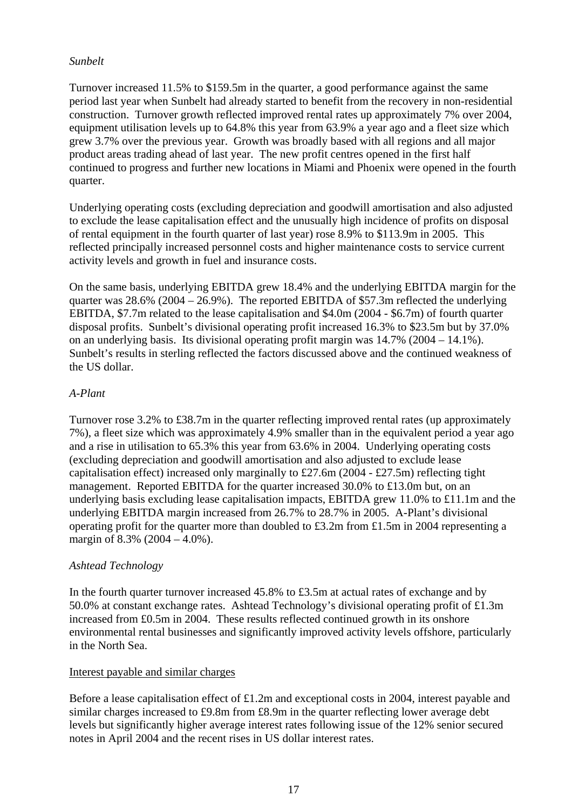# *Sunbelt*

Turnover increased 11.5% to \$159.5m in the quarter, a good performance against the same period last year when Sunbelt had already started to benefit from the recovery in non-residential construction. Turnover growth reflected improved rental rates up approximately 7% over 2004, equipment utilisation levels up to 64.8% this year from 63.9% a year ago and a fleet size which grew 3.7% over the previous year. Growth was broadly based with all regions and all major product areas trading ahead of last year. The new profit centres opened in the first half continued to progress and further new locations in Miami and Phoenix were opened in the fourth quarter.

Underlying operating costs (excluding depreciation and goodwill amortisation and also adjusted to exclude the lease capitalisation effect and the unusually high incidence of profits on disposal of rental equipment in the fourth quarter of last year) rose 8.9% to \$113.9m in 2005. This reflected principally increased personnel costs and higher maintenance costs to service current activity levels and growth in fuel and insurance costs.

On the same basis, underlying EBITDA grew 18.4% and the underlying EBITDA margin for the quarter was 28.6% (2004 – 26.9%). The reported EBITDA of \$57.3m reflected the underlying EBITDA, \$7.7m related to the lease capitalisation and \$4.0m (2004 - \$6.7m) of fourth quarter disposal profits. Sunbelt's divisional operating profit increased 16.3% to \$23.5m but by 37.0% on an underlying basis. Its divisional operating profit margin was 14.7% (2004 – 14.1%). Sunbelt's results in sterling reflected the factors discussed above and the continued weakness of the US dollar.

# *A-Plant*

Turnover rose 3.2% to £38.7m in the quarter reflecting improved rental rates (up approximately 7%), a fleet size which was approximately 4.9% smaller than in the equivalent period a year ago and a rise in utilisation to 65.3% this year from 63.6% in 2004. Underlying operating costs (excluding depreciation and goodwill amortisation and also adjusted to exclude lease capitalisation effect) increased only marginally to £27.6m (2004 - £27.5m) reflecting tight management. Reported EBITDA for the quarter increased 30.0% to £13.0m but, on an underlying basis excluding lease capitalisation impacts, EBITDA grew 11.0% to £11.1m and the underlying EBITDA margin increased from 26.7% to 28.7% in 2005. A-Plant's divisional operating profit for the quarter more than doubled to £3.2m from £1.5m in 2004 representing a margin of 8.3% (2004 – 4.0%).

## *Ashtead Technology*

In the fourth quarter turnover increased 45.8% to £3.5m at actual rates of exchange and by 50.0% at constant exchange rates. Ashtead Technology's divisional operating profit of £1.3m increased from £0.5m in 2004. These results reflected continued growth in its onshore environmental rental businesses and significantly improved activity levels offshore, particularly in the North Sea.

## Interest payable and similar charges

Before a lease capitalisation effect of £1.2m and exceptional costs in 2004, interest payable and similar charges increased to £9.8m from £8.9m in the quarter reflecting lower average debt levels but significantly higher average interest rates following issue of the 12% senior secured notes in April 2004 and the recent rises in US dollar interest rates.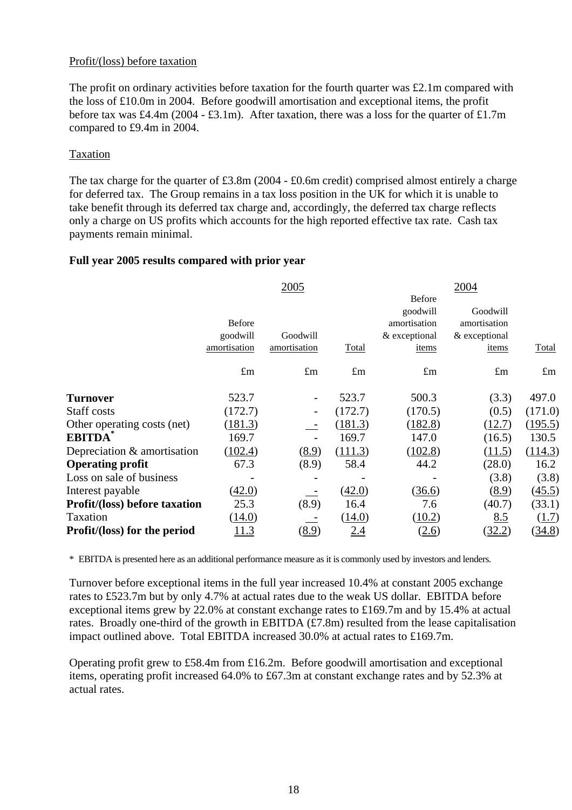## Profit/(loss) before taxation

The profit on ordinary activities before taxation for the fourth quarter was £2.1m compared with the loss of £10.0m in 2004. Before goodwill amortisation and exceptional items, the profit before tax was £4.4m (2004 - £3.1m). After taxation, there was a loss for the quarter of £1.7m compared to £9.4m in 2004.

## Taxation

The tax charge for the quarter of £3.8m (2004 - £0.6m credit) comprised almost entirely a charge for deferred tax. The Group remains in a tax loss position in the UK for which it is unable to take benefit through its deferred tax charge and, accordingly, the deferred tax charge reflects only a charge on US profits which accounts for the high reported effective tax rate. Cash tax payments remain minimal.

# **Full year 2005 results compared with prior year**

|                                      |               | 2005         |             |               | 2004          |             |
|--------------------------------------|---------------|--------------|-------------|---------------|---------------|-------------|
|                                      |               |              |             | <b>Before</b> |               |             |
|                                      |               |              |             | goodwill      | Goodwill      |             |
|                                      | <b>Before</b> |              |             | amortisation  | amortisation  |             |
|                                      | goodwill      | Goodwill     |             | & exceptional | & exceptional |             |
|                                      | amortisation  | amortisation | Total       | items         | items         | Total       |
|                                      | $\pounds$ m   | $\pounds$ m  | $\pounds$ m | $\pounds$ m   | $\pounds$ m   | $\pounds$ m |
| <b>Turnover</b>                      | 523.7         |              | 523.7       | 500.3         | (3.3)         | 497.0       |
| Staff costs                          | (172.7)       |              | (172.7)     | (170.5)       | (0.5)         | (171.0)     |
| Other operating costs (net)          | (181.3)       |              | (181.3)     | (182.8)       | (12.7)        | (195.5)     |
| <b>EBITDA</b>                        | 169.7         |              | 169.7       | 147.0         | (16.5)        | 130.5       |
| Depreciation & amortisation          | (102.4)       | (8.9)        | (111.3)     | (102.8)       | (11.5)        | (114.3)     |
| <b>Operating profit</b>              | 67.3          | (8.9)        | 58.4        | 44.2          | (28.0)        | 16.2        |
| Loss on sale of business             |               |              |             |               | (3.8)         | (3.8)       |
| Interest payable                     | (42.0)        |              | (42.0)      | (36.6)        | (8.9)         | (45.5)      |
| <b>Profit/(loss) before taxation</b> | 25.3          | (8.9)        | 16.4        | 7.6           | (40.7)        | (33.1)      |
| Taxation                             | (14.0)        |              | (14.0)      | (10.2)        | 8.5           | (1.7)       |
| <b>Profit/(loss) for the period</b>  | <u>11.3</u>   | (8.9)        | 2.4         | (2.6)         | (32.2)        | (34.8)      |
|                                      |               |              |             |               |               |             |

\* EBITDA is presented here as an additional performance measure as it is commonly used by investors and lenders.

Turnover before exceptional items in the full year increased 10.4% at constant 2005 exchange rates to £523.7m but by only 4.7% at actual rates due to the weak US dollar. EBITDA before exceptional items grew by 22.0% at constant exchange rates to £169.7m and by 15.4% at actual rates. Broadly one-third of the growth in EBITDA (£7.8m) resulted from the lease capitalisation impact outlined above. Total EBITDA increased 30.0% at actual rates to £169.7m.

Operating profit grew to £58.4m from £16.2m. Before goodwill amortisation and exceptional items, operating profit increased 64.0% to £67.3m at constant exchange rates and by 52.3% at actual rates.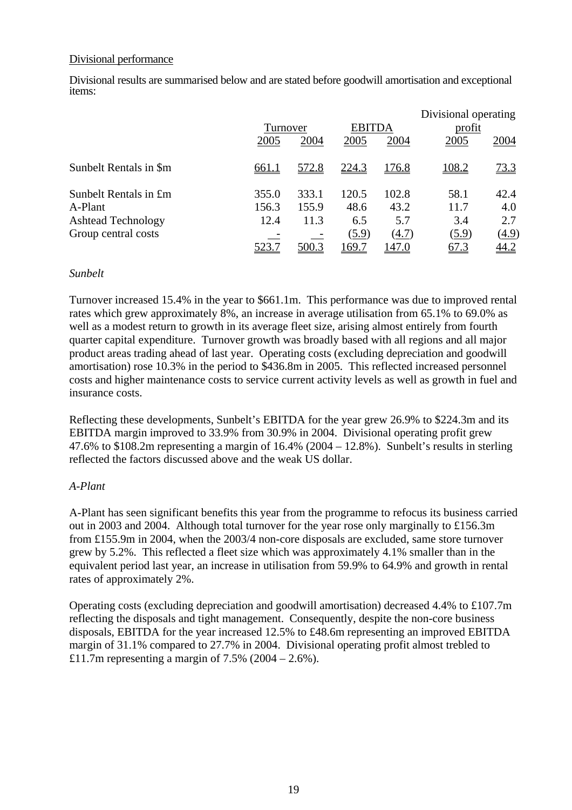### Divisional performance

Divisional results are summarised below and are stated before goodwill amortisation and exceptional items:

|                           |              |          |              |               | Divisional operating |       |
|---------------------------|--------------|----------|--------------|---------------|----------------------|-------|
|                           |              | Turnover |              | <b>EBITDA</b> | profit               |       |
|                           | 2005         | 2004     | 2005         | 2004          | 2005                 | 2004  |
| Sunbelt Rentals in \$m    | <u>661.1</u> | 572.8    | <u>224.3</u> | <u>176.8</u>  | 108.2                | 73.3  |
| Sunbelt Rentals in £m     | 355.0        | 333.1    | 120.5        | 102.8         | 58.1                 | 42.4  |
| A-Plant                   | 156.3        | 155.9    | 48.6         | 43.2          | 11.7                 | 4.0   |
| <b>Ashtead Technology</b> | 12.4         | 11.3     | 6.5          | 5.7           | 3.4                  | 2.7   |
| Group central costs       |              |          | (5.9)        | (4.7)         | (5.9)                | (4.9) |
|                           | 523.7        | 500.3    | 169.7        | 147.0         | <u>67.3</u>          | 44.2  |

#### *Sunbelt*

Turnover increased 15.4% in the year to \$661.1m. This performance was due to improved rental rates which grew approximately 8%, an increase in average utilisation from 65.1% to 69.0% as well as a modest return to growth in its average fleet size, arising almost entirely from fourth quarter capital expenditure. Turnover growth was broadly based with all regions and all major product areas trading ahead of last year. Operating costs (excluding depreciation and goodwill amortisation) rose 10.3% in the period to \$436.8m in 2005. This reflected increased personnel costs and higher maintenance costs to service current activity levels as well as growth in fuel and insurance costs.

Reflecting these developments, Sunbelt's EBITDA for the year grew 26.9% to \$224.3m and its EBITDA margin improved to 33.9% from 30.9% in 2004. Divisional operating profit grew 47.6% to \$108.2m representing a margin of 16.4% (2004 – 12.8%). Sunbelt's results in sterling reflected the factors discussed above and the weak US dollar.

## *A-Plant*

A-Plant has seen significant benefits this year from the programme to refocus its business carried out in 2003 and 2004. Although total turnover for the year rose only marginally to £156.3m from £155.9m in 2004, when the 2003/4 non-core disposals are excluded, same store turnover grew by 5.2%. This reflected a fleet size which was approximately 4.1% smaller than in the equivalent period last year, an increase in utilisation from 59.9% to 64.9% and growth in rental rates of approximately 2%.

Operating costs (excluding depreciation and goodwill amortisation) decreased 4.4% to £107.7m reflecting the disposals and tight management. Consequently, despite the non-core business disposals, EBITDA for the year increased 12.5% to £48.6m representing an improved EBITDA margin of 31.1% compared to 27.7% in 2004. Divisional operating profit almost trebled to £11.7m representing a margin of  $7.5\%$  (2004 – 2.6%).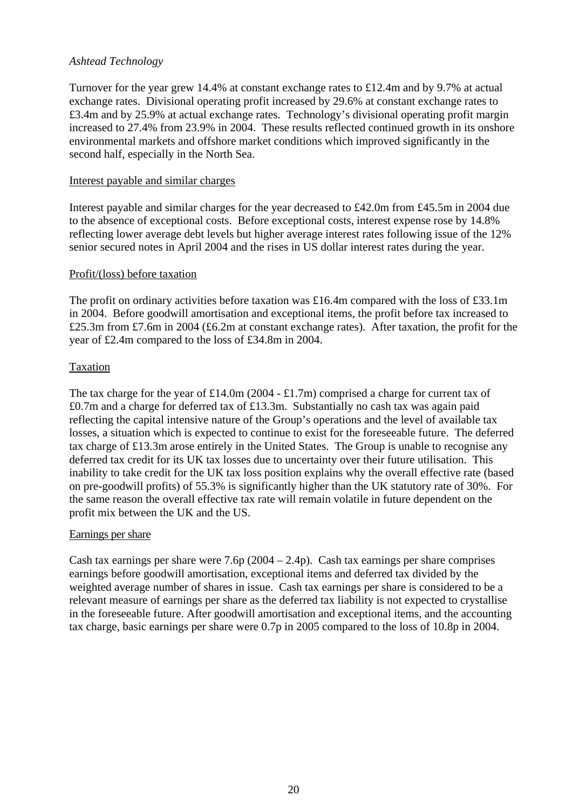# *Ashtead Technology*

Turnover for the year grew 14.4% at constant exchange rates to £12.4m and by 9.7% at actual exchange rates. Divisional operating profit increased by 29.6% at constant exchange rates to £3.4m and by 25.9% at actual exchange rates. Technology's divisional operating profit margin increased to 27.4% from 23.9% in 2004. These results reflected continued growth in its onshore environmental markets and offshore market conditions which improved significantly in the second half, especially in the North Sea.

### Interest payable and similar charges

Interest payable and similar charges for the year decreased to £42.0m from £45.5m in 2004 due to the absence of exceptional costs. Before exceptional costs, interest expense rose by 14.8% reflecting lower average debt levels but higher average interest rates following issue of the 12% senior secured notes in April 2004 and the rises in US dollar interest rates during the year.

#### Profit/(loss) before taxation

The profit on ordinary activities before taxation was £16.4m compared with the loss of £33.1m in 2004. Before goodwill amortisation and exceptional items, the profit before tax increased to £25.3m from £7.6m in 2004 (£6.2m at constant exchange rates). After taxation, the profit for the year of £2.4m compared to the loss of £34.8m in 2004.

## Taxation

The tax charge for the year of £14.0m (2004 - £1.7m) comprised a charge for current tax of £0.7m and a charge for deferred tax of £13.3m. Substantially no cash tax was again paid reflecting the capital intensive nature of the Group's operations and the level of available tax losses, a situation which is expected to continue to exist for the foreseeable future. The deferred tax charge of £13.3m arose entirely in the United States. The Group is unable to recognise any deferred tax credit for its UK tax losses due to uncertainty over their future utilisation. This inability to take credit for the UK tax loss position explains why the overall effective rate (based on pre-goodwill profits) of 55.3% is significantly higher than the UK statutory rate of 30%. For the same reason the overall effective tax rate will remain volatile in future dependent on the profit mix between the UK and the US.

## Earnings per share

Cash tax earnings per share were  $7.6p(2004 – 2.4p)$ . Cash tax earnings per share comprises earnings before goodwill amortisation, exceptional items and deferred tax divided by the weighted average number of shares in issue. Cash tax earnings per share is considered to be a relevant measure of earnings per share as the deferred tax liability is not expected to crystallise in the foreseeable future. After goodwill amortisation and exceptional items, and the accounting tax charge, basic earnings per share were 0.7p in 2005 compared to the loss of 10.8p in 2004.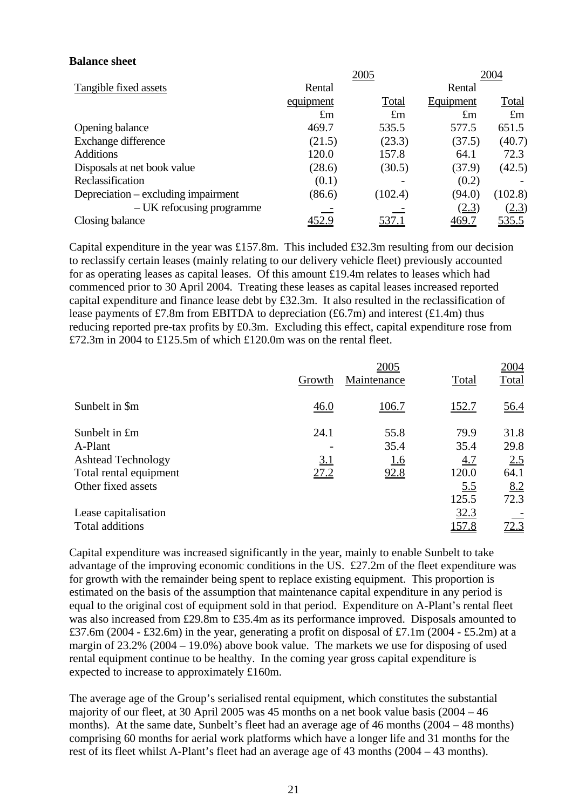### **Balance sheet**

|                                     |             | 2005        |             | 2004         |
|-------------------------------------|-------------|-------------|-------------|--------------|
| Tangible fixed assets               | Rental      |             | Rental      |              |
|                                     | equipment   | Total       | Equipment   | <u>Total</u> |
|                                     | $\pounds$ m | $\pounds$ m | $\pounds$ m | $\pounds$ m  |
| Opening balance                     | 469.7       | 535.5       | 577.5       | 651.5        |
| Exchange difference                 | (21.5)      | (23.3)      | (37.5)      | (40.7)       |
| <b>Additions</b>                    | 120.0       | 157.8       | 64.1        | 72.3         |
| Disposals at net book value         | (28.6)      | (30.5)      | (37.9)      | (42.5)       |
| Reclassification                    | (0.1)       |             | (0.2)       |              |
| Depreciation – excluding impairment | (86.6)      | (102.4)     | (94.0)      | (102.8)      |
| – UK refocusing programme           |             |             | (2.3)       | (2.3)        |
| Closing balance                     | 452.9       | 537.1       | 469.7       | <u>535.5</u> |

Capital expenditure in the year was £157.8m. This included £32.3m resulting from our decision to reclassify certain leases (mainly relating to our delivery vehicle fleet) previously accounted for as operating leases as capital leases. Of this amount £19.4m relates to leases which had commenced prior to 30 April 2004. Treating these leases as capital leases increased reported capital expenditure and finance lease debt by £32.3m. It also resulted in the reclassification of lease payments of £7.8m from EBITDA to depreciation (£6.7m) and interest (£1.4m) thus reducing reported pre-tax profits by £0.3m. Excluding this effect, capital expenditure rose from £72.3m in 2004 to £125.5m of which £120.0m was on the rental fleet.

|                           |            | 2005        |              | 2004  |
|---------------------------|------------|-------------|--------------|-------|
|                           | Growth     | Maintenance | Total        | Total |
| Sunbelt in \$m            | 46.0       | 106.7       | 152.7        | 56.4  |
| Sunbelt in £m             | 24.1       | 55.8        | 79.9         | 31.8  |
| A-Plant                   |            | 35.4        | 35.4         | 29.8  |
| <b>Ashtead Technology</b> | <u>3.1</u> | <u>1.6</u>  | <u>4.7</u>   | 2.5   |
| Total rental equipment    | 27.2       | 92.8        | 120.0        | 64.1  |
| Other fixed assets        |            |             | <u>5.5</u>   | 8.2   |
|                           |            |             | 125.5        | 72.3  |
| Lease capitalisation      |            |             | 32.3         |       |
| Total additions           |            |             | <u>157.8</u> | 72.3  |

Capital expenditure was increased significantly in the year, mainly to enable Sunbelt to take advantage of the improving economic conditions in the US. £27.2m of the fleet expenditure was for growth with the remainder being spent to replace existing equipment. This proportion is estimated on the basis of the assumption that maintenance capital expenditure in any period is equal to the original cost of equipment sold in that period. Expenditure on A-Plant's rental fleet was also increased from £29.8m to £35.4m as its performance improved. Disposals amounted to £37.6m (2004 - £32.6m) in the year, generating a profit on disposal of £7.1m (2004 - £5.2m) at a margin of 23.2% (2004 – 19.0%) above book value. The markets we use for disposing of used rental equipment continue to be healthy. In the coming year gross capital expenditure is expected to increase to approximately £160m.

The average age of the Group's serialised rental equipment, which constitutes the substantial majority of our fleet, at 30 April 2005 was 45 months on a net book value basis (2004 – 46 months). At the same date, Sunbelt's fleet had an average age of 46 months (2004 – 48 months) comprising 60 months for aerial work platforms which have a longer life and 31 months for the rest of its fleet whilst A-Plant's fleet had an average age of 43 months (2004 – 43 months).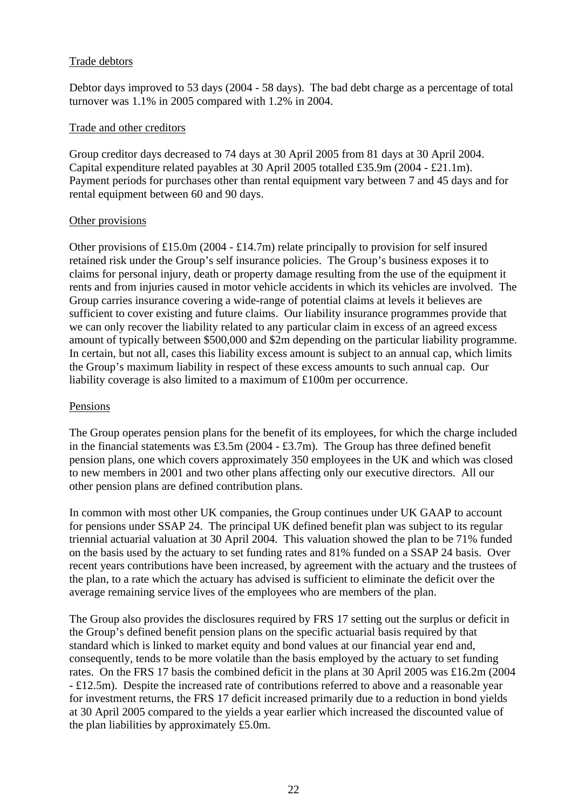# Trade debtors

Debtor days improved to 53 days (2004 - 58 days). The bad debt charge as a percentage of total turnover was 1.1% in 2005 compared with 1.2% in 2004.

## Trade and other creditors

Group creditor days decreased to 74 days at 30 April 2005 from 81 days at 30 April 2004. Capital expenditure related payables at 30 April 2005 totalled £35.9m (2004 - £21.1m). Payment periods for purchases other than rental equipment vary between 7 and 45 days and for rental equipment between 60 and 90 days.

# Other provisions

Other provisions of £15.0m (2004 - £14.7m) relate principally to provision for self insured retained risk under the Group's self insurance policies. The Group's business exposes it to claims for personal injury, death or property damage resulting from the use of the equipment it rents and from injuries caused in motor vehicle accidents in which its vehicles are involved. The Group carries insurance covering a wide-range of potential claims at levels it believes are sufficient to cover existing and future claims. Our liability insurance programmes provide that we can only recover the liability related to any particular claim in excess of an agreed excess amount of typically between \$500,000 and \$2m depending on the particular liability programme. In certain, but not all, cases this liability excess amount is subject to an annual cap, which limits the Group's maximum liability in respect of these excess amounts to such annual cap. Our liability coverage is also limited to a maximum of £100m per occurrence.

## Pensions

The Group operates pension plans for the benefit of its employees, for which the charge included in the financial statements was  $£3.5m (2004 - £3.7m)$ . The Group has three defined benefit pension plans, one which covers approximately 350 employees in the UK and which was closed to new members in 2001 and two other plans affecting only our executive directors. All our other pension plans are defined contribution plans.

In common with most other UK companies, the Group continues under UK GAAP to account for pensions under SSAP 24. The principal UK defined benefit plan was subject to its regular triennial actuarial valuation at 30 April 2004. This valuation showed the plan to be 71% funded on the basis used by the actuary to set funding rates and 81% funded on a SSAP 24 basis. Over recent years contributions have been increased, by agreement with the actuary and the trustees of the plan, to a rate which the actuary has advised is sufficient to eliminate the deficit over the average remaining service lives of the employees who are members of the plan.

The Group also provides the disclosures required by FRS 17 setting out the surplus or deficit in the Group's defined benefit pension plans on the specific actuarial basis required by that standard which is linked to market equity and bond values at our financial year end and, consequently, tends to be more volatile than the basis employed by the actuary to set funding rates. On the FRS 17 basis the combined deficit in the plans at 30 April 2005 was £16.2m (2004 - £12.5m). Despite the increased rate of contributions referred to above and a reasonable year for investment returns, the FRS 17 deficit increased primarily due to a reduction in bond yields at 30 April 2005 compared to the yields a year earlier which increased the discounted value of the plan liabilities by approximately £5.0m.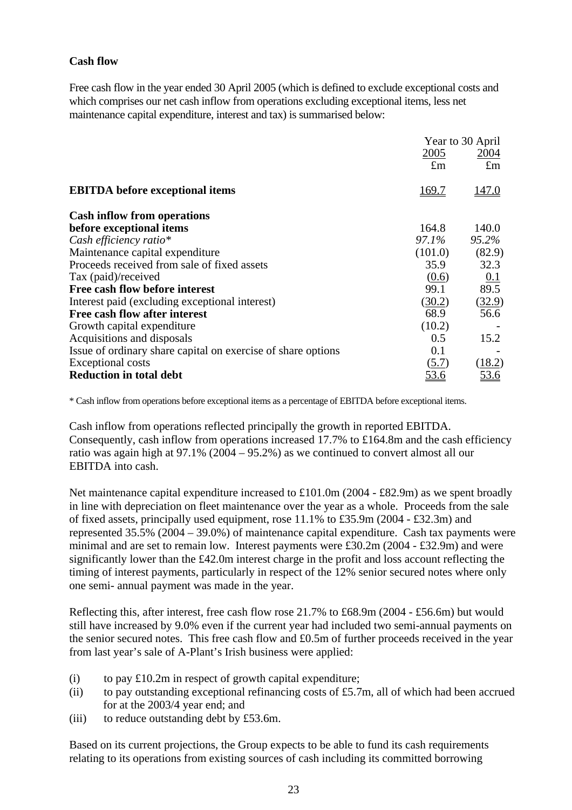# **Cash flow**

Free cash flow in the year ended 30 April 2005 (which is defined to exclude exceptional costs and which comprises our net cash inflow from operations excluding exceptional items, less net maintenance capital expenditure, interest and tax) is summarised below:

|                                                              |              | Year to 30 April   |
|--------------------------------------------------------------|--------------|--------------------|
|                                                              | 2005         | 2004               |
|                                                              | $\pounds$ m  | $\pounds$ m        |
| <b>EBITDA</b> before exceptional items                       | <u>169.7</u> | <u>147.0</u>       |
| <b>Cash inflow from operations</b>                           |              |                    |
| before exceptional items                                     | 164.8        | 140.0              |
| Cash efficiency ratio*                                       | 97.1%        | 95.2%              |
| Maintenance capital expenditure                              | (101.0)      | (82.9)             |
| Proceeds received from sale of fixed assets                  | 35.9         | 32.3               |
| Tax (paid)/received                                          | (0.6)        |                    |
| Free cash flow before interest                               | 99.1         | $\frac{0.1}{89.5}$ |
| Interest paid (excluding exceptional interest)               | (30.2)       | (32.9)             |
| Free cash flow after interest                                | 68.9         | 56.6               |
| Growth capital expenditure                                   | (10.2)       |                    |
| Acquisitions and disposals                                   | 0.5          | 15.2               |
| Issue of ordinary share capital on exercise of share options | 0.1          |                    |
| <b>Exceptional costs</b>                                     | (5.7)        | (18.2)             |
| <b>Reduction in total debt</b>                               | <u>53.6</u>  |                    |

\* Cash inflow from operations before exceptional items as a percentage of EBITDA before exceptional items.

Cash inflow from operations reflected principally the growth in reported EBITDA. Consequently, cash inflow from operations increased  $17.7\%$  to £164.8m and the cash efficiency ratio was again high at 97.1% (2004 – 95.2%) as we continued to convert almost all our EBITDA into cash.

Net maintenance capital expenditure increased to £101.0m (2004 - £82.9m) as we spent broadly in line with depreciation on fleet maintenance over the year as a whole. Proceeds from the sale of fixed assets, principally used equipment, rose 11.1% to £35.9m (2004 - £32.3m) and represented 35.5% (2004 – 39.0%) of maintenance capital expenditure. Cash tax payments were minimal and are set to remain low. Interest payments were £30.2m (2004 - £32.9m) and were significantly lower than the £42.0m interest charge in the profit and loss account reflecting the timing of interest payments, particularly in respect of the 12% senior secured notes where only one semi- annual payment was made in the year.

Reflecting this, after interest, free cash flow rose 21.7% to £68.9m (2004 - £56.6m) but would still have increased by 9.0% even if the current year had included two semi-annual payments on the senior secured notes. This free cash flow and £0.5m of further proceeds received in the year from last year's sale of A-Plant's Irish business were applied:

- (i) to pay  $\text{\pounds}10.2\text{m}$  in respect of growth capital expenditure;
- (ii) to pay outstanding exceptional refinancing costs of  $£5.7m$ , all of which had been accrued for at the 2003/4 year end; and
- (iii) to reduce outstanding debt by £53.6m.

Based on its current projections, the Group expects to be able to fund its cash requirements relating to its operations from existing sources of cash including its committed borrowing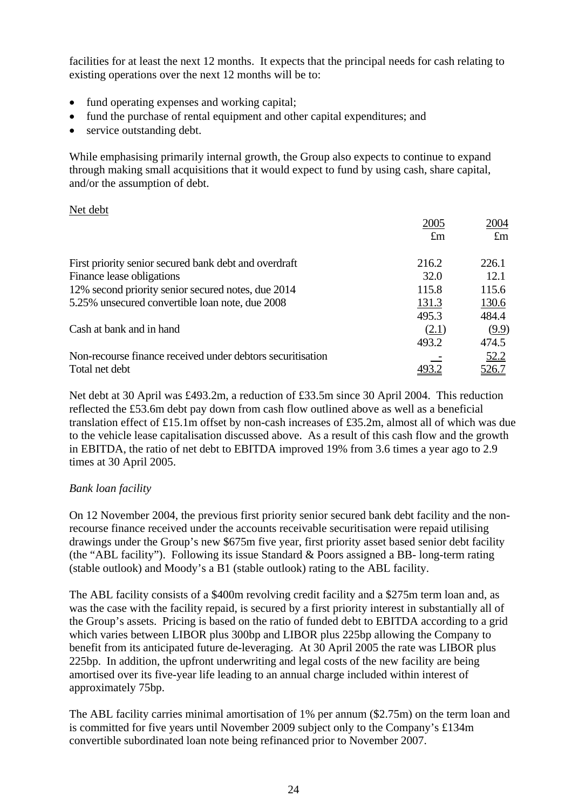facilities for at least the next 12 months. It expects that the principal needs for cash relating to existing operations over the next 12 months will be to:

- fund operating expenses and working capital;
- fund the purchase of rental equipment and other capital expenditures; and
- service outstanding debt.

While emphasising primarily internal growth, the Group also expects to continue to expand through making small acquisitions that it would expect to fund by using cash, share capital, and/or the assumption of debt.

## Net debt

|                                                            | 2005        | 2004        |
|------------------------------------------------------------|-------------|-------------|
|                                                            | $\pounds$ m | $\pounds$ m |
| First priority senior secured bank debt and overdraft      | 216.2       | 226.1       |
| Finance lease obligations                                  | 32.0        | 12.1        |
| 12% second priority senior secured notes, due 2014         | 115.8       | 115.6       |
| 5.25% unsecured convertible loan note, due 2008            | 131.3       | 130.6       |
|                                                            | 495.3       | 484.4       |
| Cash at bank and in hand                                   | (2.1)       | (9.9)       |
|                                                            | 493.2       | 474.5       |
| Non-recourse finance received under debtors securitisation |             | 52.2        |
| Total net debt                                             |             | 526.7       |

Net debt at 30 April was £493.2m, a reduction of £33.5m since 30 April 2004. This reduction reflected the £53.6m debt pay down from cash flow outlined above as well as a beneficial translation effect of £15.1m offset by non-cash increases of £35.2m, almost all of which was due to the vehicle lease capitalisation discussed above. As a result of this cash flow and the growth in EBITDA, the ratio of net debt to EBITDA improved 19% from 3.6 times a year ago to 2.9 times at 30 April 2005.

# *Bank loan facility*

On 12 November 2004, the previous first priority senior secured bank debt facility and the nonrecourse finance received under the accounts receivable securitisation were repaid utilising drawings under the Group's new \$675m five year, first priority asset based senior debt facility (the "ABL facility"). Following its issue Standard & Poors assigned a BB- long-term rating (stable outlook) and Moody's a B1 (stable outlook) rating to the ABL facility.

The ABL facility consists of a \$400m revolving credit facility and a \$275m term loan and, as was the case with the facility repaid, is secured by a first priority interest in substantially all of the Group's assets. Pricing is based on the ratio of funded debt to EBITDA according to a grid which varies between LIBOR plus 300bp and LIBOR plus 225bp allowing the Company to benefit from its anticipated future de-leveraging. At 30 April 2005 the rate was LIBOR plus 225bp. In addition, the upfront underwriting and legal costs of the new facility are being amortised over its five-year life leading to an annual charge included within interest of approximately 75bp.

The ABL facility carries minimal amortisation of 1% per annum (\$2.75m) on the term loan and is committed for five years until November 2009 subject only to the Company's £134m convertible subordinated loan note being refinanced prior to November 2007.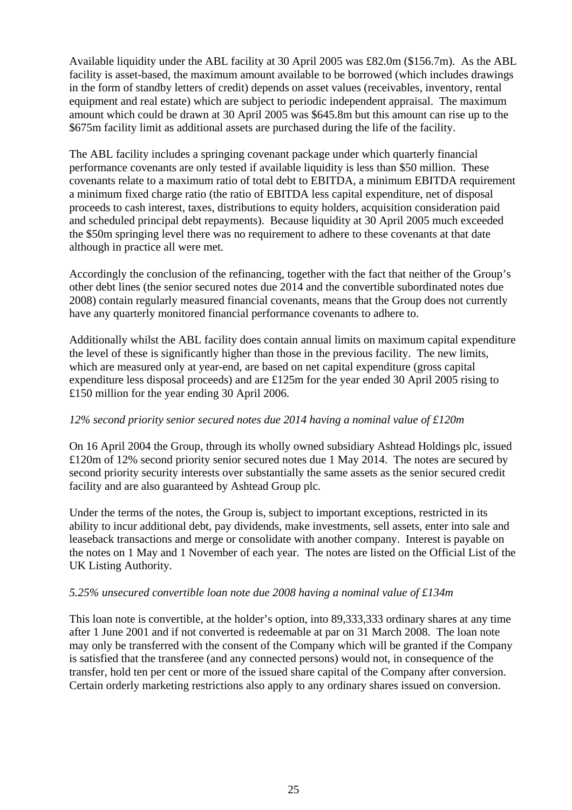Available liquidity under the ABL facility at 30 April 2005 was £82.0m (\$156.7m). As the ABL facility is asset-based, the maximum amount available to be borrowed (which includes drawings in the form of standby letters of credit) depends on asset values (receivables, inventory, rental equipment and real estate) which are subject to periodic independent appraisal. The maximum amount which could be drawn at 30 April 2005 was \$645.8m but this amount can rise up to the \$675m facility limit as additional assets are purchased during the life of the facility.

The ABL facility includes a springing covenant package under which quarterly financial performance covenants are only tested if available liquidity is less than \$50 million. These covenants relate to a maximum ratio of total debt to EBITDA, a minimum EBITDA requirement a minimum fixed charge ratio (the ratio of EBITDA less capital expenditure, net of disposal proceeds to cash interest, taxes, distributions to equity holders, acquisition consideration paid and scheduled principal debt repayments). Because liquidity at 30 April 2005 much exceeded the \$50m springing level there was no requirement to adhere to these covenants at that date although in practice all were met.

Accordingly the conclusion of the refinancing, together with the fact that neither of the Group's other debt lines (the senior secured notes due 2014 and the convertible subordinated notes due 2008) contain regularly measured financial covenants, means that the Group does not currently have any quarterly monitored financial performance covenants to adhere to.

Additionally whilst the ABL facility does contain annual limits on maximum capital expenditure the level of these is significantly higher than those in the previous facility. The new limits, which are measured only at year-end, are based on net capital expenditure (gross capital expenditure less disposal proceeds) and are £125m for the year ended 30 April 2005 rising to £150 million for the year ending 30 April 2006.

# *12% second priority senior secured notes due 2014 having a nominal value of £120m*

On 16 April 2004 the Group, through its wholly owned subsidiary Ashtead Holdings plc, issued £120m of 12% second priority senior secured notes due 1 May 2014. The notes are secured by second priority security interests over substantially the same assets as the senior secured credit facility and are also guaranteed by Ashtead Group plc.

Under the terms of the notes, the Group is, subject to important exceptions, restricted in its ability to incur additional debt, pay dividends, make investments, sell assets, enter into sale and leaseback transactions and merge or consolidate with another company. Interest is payable on the notes on 1 May and 1 November of each year. The notes are listed on the Official List of the UK Listing Authority.

# *5.25% unsecured convertible loan note due 2008 having a nominal value of £134m*

This loan note is convertible, at the holder's option, into 89,333,333 ordinary shares at any time after 1 June 2001 and if not converted is redeemable at par on 31 March 2008. The loan note may only be transferred with the consent of the Company which will be granted if the Company is satisfied that the transferee (and any connected persons) would not, in consequence of the transfer, hold ten per cent or more of the issued share capital of the Company after conversion. Certain orderly marketing restrictions also apply to any ordinary shares issued on conversion.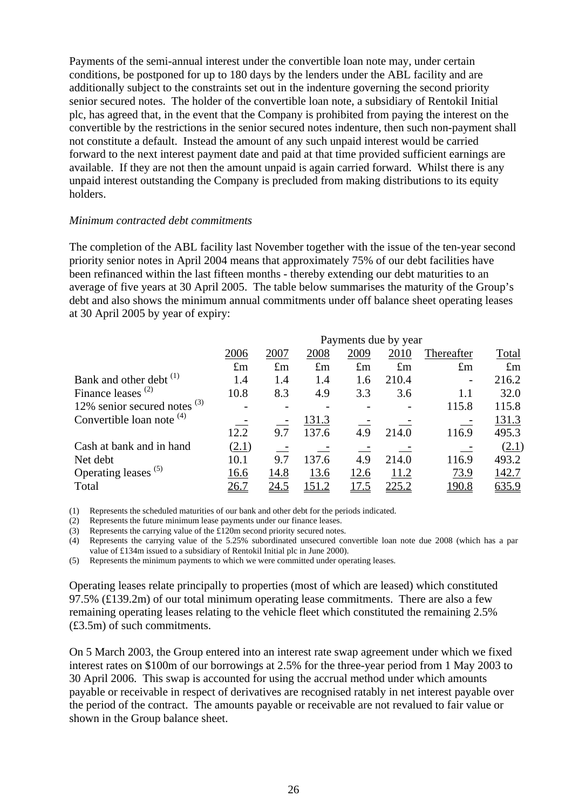Payments of the semi-annual interest under the convertible loan note may, under certain conditions, be postponed for up to 180 days by the lenders under the ABL facility and are additionally subject to the constraints set out in the indenture governing the second priority senior secured notes. The holder of the convertible loan note, a subsidiary of Rentokil Initial plc, has agreed that, in the event that the Company is prohibited from paying the interest on the convertible by the restrictions in the senior secured notes indenture, then such non-payment shall not constitute a default. Instead the amount of any such unpaid interest would be carried forward to the next interest payment date and paid at that time provided sufficient earnings are available. If they are not then the amount unpaid is again carried forward. Whilst there is any unpaid interest outstanding the Company is precluded from making distributions to its equity holders.

## *Minimum contracted debt commitments*

The completion of the ABL facility last November together with the issue of the ten-year second priority senior notes in April 2004 means that approximately 75% of our debt facilities have been refinanced within the last fifteen months - thereby extending our debt maturities to an average of five years at 30 April 2005. The table below summarises the maturity of the Group's debt and also shows the minimum annual commitments under off balance sheet operating leases at 30 April 2005 by year of expiry:

|                                    | Payments due by year |             |              |              |               |               |              |
|------------------------------------|----------------------|-------------|--------------|--------------|---------------|---------------|--------------|
|                                    | 2006                 | 2007        | 2008         | 2009         | 2010          | Thereafter    | Total        |
|                                    | $\pounds$ m          | $\pounds$ m | $\pounds$ m  | $\pounds$ m  | $\pounds$ m   | $\pounds$ m   | $\pounds$ m  |
| Bank and other debt <sup>(1)</sup> | 1.4                  | 1.4         | 1.4          | 1.6          | 210.4         |               | 216.2        |
| Finance leases $(2)$               | 10.8                 | 8.3         | 4.9          | 3.3          | 3.6           | 1.1           | 32.0         |
| 12% senior secured notes $(3)$     |                      |             |              |              |               | 115.8         | 115.8        |
| Convertible loan note $(4)$        |                      |             | 131.3        |              |               |               | 131.3        |
|                                    | 12.2                 | 9.7         | 137.6        | 4.9          | 214.0         | 116.9         | 495.3        |
| Cash at bank and in hand           | (2.1)                |             |              |              |               |               | (2.1)        |
| Net debt                           | 10.1                 | 9.7         | 137.6        | 4.9          | 214.0         | 116.9         | 493.2        |
| Operating leases <sup>(5)</sup>    | 16.6                 | 14.8        | 13.6         | 12.6         | 11.2          | 73.9          | 142.7        |
| Total                              | 26.7                 | 24.5        | <u>151.2</u> | <u> 17.5</u> | <u> 225.2</u> | <u> 190.8</u> | <u>635.9</u> |

(1) Represents the scheduled maturities of our bank and other debt for the periods indicated.

(2) Represents the future minimum lease payments under our finance leases.

(3) Represents the carrying value of the £120m second priority secured notes.

(4) Represents the carrying value of the 5.25% subordinated unsecured convertible loan note due 2008 (which has a par value of £134m issued to a subsidiary of Rentokil Initial plc in June 2000).

(5) Represents the minimum payments to which we were committed under operating leases.

Operating leases relate principally to properties (most of which are leased) which constituted 97.5% ( $\pounds$ 139.2m) of our total minimum operating lease commitments. There are also a few remaining operating leases relating to the vehicle fleet which constituted the remaining 2.5% (£3.5m) of such commitments.

On 5 March 2003, the Group entered into an interest rate swap agreement under which we fixed interest rates on \$100m of our borrowings at 2.5% for the three-year period from 1 May 2003 to 30 April 2006. This swap is accounted for using the accrual method under which amounts payable or receivable in respect of derivatives are recognised ratably in net interest payable over the period of the contract. The amounts payable or receivable are not revalued to fair value or shown in the Group balance sheet.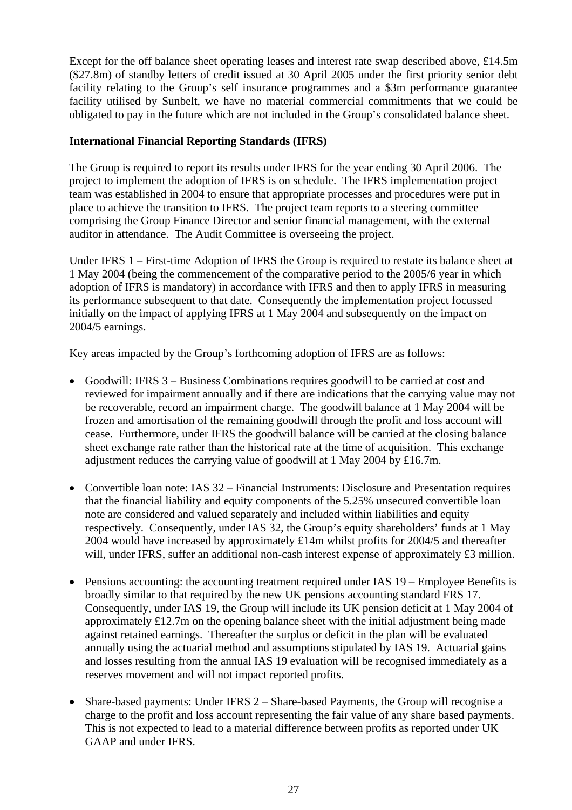Except for the off balance sheet operating leases and interest rate swap described above, £14.5m (\$27.8m) of standby letters of credit issued at 30 April 2005 under the first priority senior debt facility relating to the Group's self insurance programmes and a \$3m performance guarantee facility utilised by Sunbelt, we have no material commercial commitments that we could be obligated to pay in the future which are not included in the Group's consolidated balance sheet.

# **International Financial Reporting Standards (IFRS)**

The Group is required to report its results under IFRS for the year ending 30 April 2006. The project to implement the adoption of IFRS is on schedule. The IFRS implementation project team was established in 2004 to ensure that appropriate processes and procedures were put in place to achieve the transition to IFRS. The project team reports to a steering committee comprising the Group Finance Director and senior financial management, with the external auditor in attendance. The Audit Committee is overseeing the project.

Under IFRS 1 – First-time Adoption of IFRS the Group is required to restate its balance sheet at 1 May 2004 (being the commencement of the comparative period to the 2005/6 year in which adoption of IFRS is mandatory) in accordance with IFRS and then to apply IFRS in measuring its performance subsequent to that date. Consequently the implementation project focussed initially on the impact of applying IFRS at 1 May 2004 and subsequently on the impact on 2004/5 earnings.

Key areas impacted by the Group's forthcoming adoption of IFRS are as follows:

- Goodwill: IFRS 3 Business Combinations requires goodwill to be carried at cost and reviewed for impairment annually and if there are indications that the carrying value may not be recoverable, record an impairment charge. The goodwill balance at 1 May 2004 will be frozen and amortisation of the remaining goodwill through the profit and loss account will cease. Furthermore, under IFRS the goodwill balance will be carried at the closing balance sheet exchange rate rather than the historical rate at the time of acquisition. This exchange adjustment reduces the carrying value of goodwill at 1 May 2004 by £16.7m.
- Convertible loan note: IAS 32 Financial Instruments: Disclosure and Presentation requires that the financial liability and equity components of the 5.25% unsecured convertible loan note are considered and valued separately and included within liabilities and equity respectively. Consequently, under IAS 32, the Group's equity shareholders' funds at 1 May 2004 would have increased by approximately £14m whilst profits for 2004/5 and thereafter will, under IFRS, suffer an additional non-cash interest expense of approximately £3 million.
- Pensions accounting: the accounting treatment required under IAS 19 Employee Benefits is broadly similar to that required by the new UK pensions accounting standard FRS 17. Consequently, under IAS 19, the Group will include its UK pension deficit at 1 May 2004 of approximately £12.7m on the opening balance sheet with the initial adjustment being made against retained earnings. Thereafter the surplus or deficit in the plan will be evaluated annually using the actuarial method and assumptions stipulated by IAS 19. Actuarial gains and losses resulting from the annual IAS 19 evaluation will be recognised immediately as a reserves movement and will not impact reported profits.
- Share-based payments: Under IFRS 2 Share-based Payments, the Group will recognise a charge to the profit and loss account representing the fair value of any share based payments. This is not expected to lead to a material difference between profits as reported under UK GAAP and under IFRS.